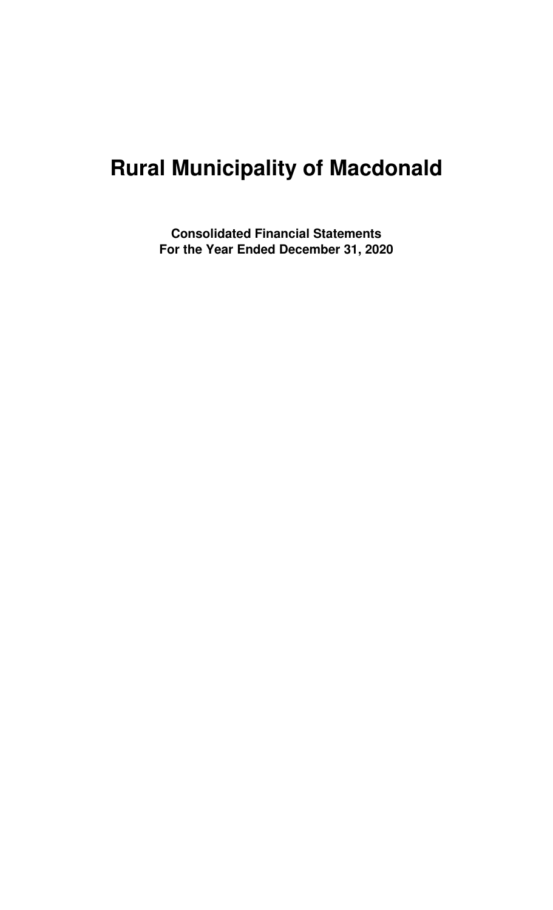# **Rural Municipality of Macdonald**

**Consolidated Financial Statements For the Year Ended December 31, 2020**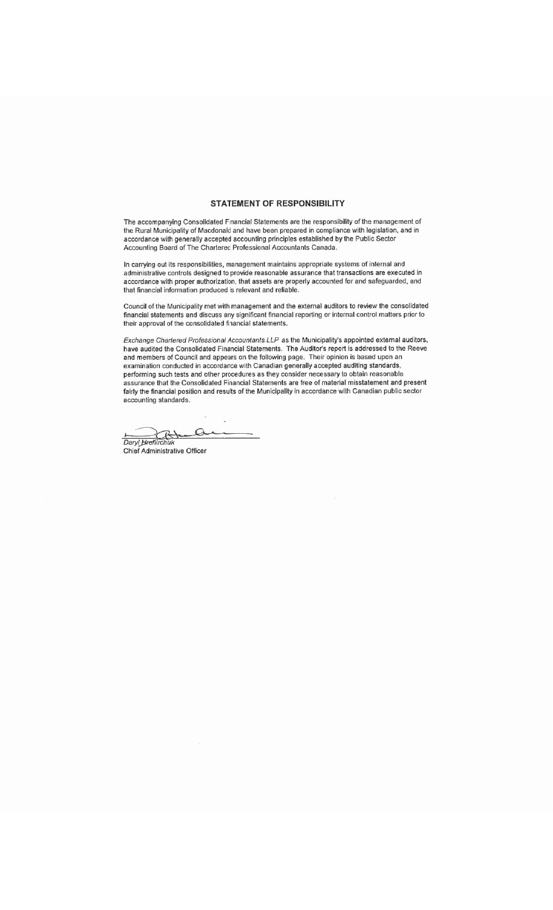#### **STATEMENT OF RESPONSIBILITY**

The accompanying Consolidated Financial Statements are the responsibility of the management of the Rural Municipality of Macdonald and have been prepared in compliance with legislation, and in accordance with generally accepted accounting principles established by the Public Sector Accounting Board of The Chartered Professional Accountants Canada.

In carrying out its responsibilities, management maintains appropriate systems of internal and administrative controls designed to provide reasonable assurance that transactions are executed in accordance with proper authorization, that assets are properly accounted for and safeguarded, and that financial information produced is relevant and reliable.

Council of the Municipality met with management and the external auditors to review the consolidated financial statements and discuss any significant financial reporting or internal control matters prior to their approval of the consolidated financial statements.

Exchange Chartered Professional Accountants LLP as the Municipality's appointed external auditors, have audited the Consolidated Financial Statements. The Auditor's report is addressed to the Reeve and members of Council and appears on the following page. Their opinion is based upon an<br>examination conducted in accordance with Canadian generally accepted auditing standards,<br>performing such tests and other procedures a fairly the financial position and results of the Municipality in accordance with Canadian public sector accounting standards.

Daryl Hrehirchuk  $\Omega$ 

**Chief Administrative Officer**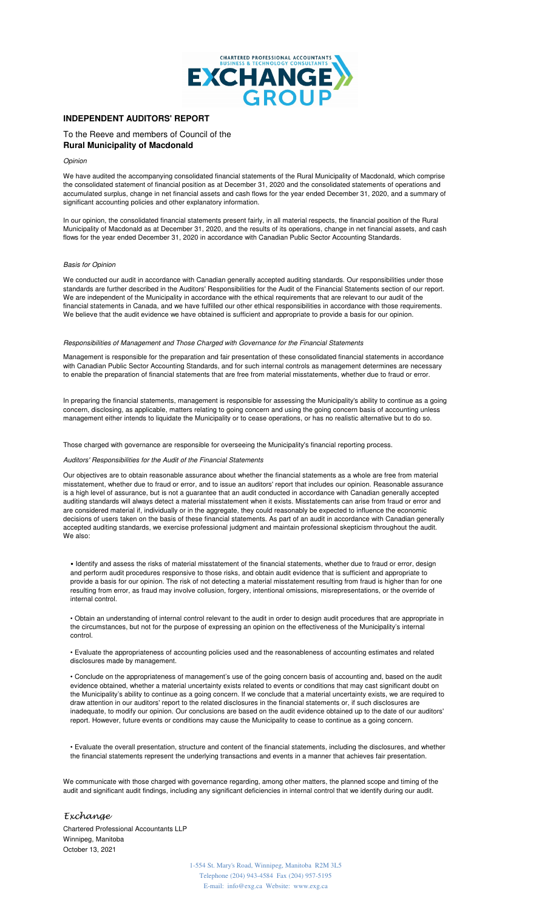

### **INDEPENDENT AUDITORS' REPORT**

To the Reeve and members of Council of the **Rural Municipality of Macdonald**

Opinion

We have audited the accompanying consolidated financial statements of the Rural Municipality of Macdonald, which comprise the consolidated statement of financial position as at December 31, 2020 and the consolidated statements of operations and accumulated surplus, change in net financial assets and cash flows for the year ended December 31, 2020, and a summary of significant accounting policies and other explanatory information.

In our opinion, the consolidated financial statements present fairly, in all material respects, the financial position of the Rural Municipality of Macdonald as at December 31, 2020, and the results of its operations, change in net financial assets, and cash flows for the year ended December 31, 2020 in accordance with Canadian Public Sector Accounting Standards.

#### Basis for Opinion

We conducted our audit in accordance with Canadian generally accepted auditing standards. Our responsibilities under those standards are further described in the Auditors' Responsibilities for the Audit of the Financial Statements section of our report. We are independent of the Municipality in accordance with the ethical requirements that are relevant to our audit of the financial statements in Canada, and we have fulfilled our other ethical responsibilities in accordance with those requirements. We believe that the audit evidence we have obtained is sufficient and appropriate to provide a basis for our opinion.

#### Responsibilities of Management and Those Charged with Governance for the Financial Statements

Management is responsible for the preparation and fair presentation of these consolidated financial statements in accordance with Canadian Public Sector Accounting Standards, and for such internal controls as management determines are necessary to enable the preparation of financial statements that are free from material misstatements, whether due to fraud or error.

In preparing the financial statements, management is responsible for assessing the Municipality's ability to continue as a going concern, disclosing, as applicable, matters relating to going concern and using the going concern basis of accounting unless management either intends to liquidate the Municipality or to cease operations, or has no realistic alternative but to do so.

#### Those charged with governance are responsible for overseeing the Municipality's financial reporting process.

#### Auditors' Responsibilities for the Audit of the Financial Statements

Our objectives are to obtain reasonable assurance about whether the financial statements as a whole are free from material misstatement, whether due to fraud or error, and to issue an auditors' report that includes our opinion. Reasonable assurance is a high level of assurance, but is not a guarantee that an audit conducted in accordance with Canadian generally accepted auditing standards will always detect a material misstatement when it exists. Misstatements can arise from fraud or error and are considered material if, individually or in the aggregate, they could reasonably be expected to influence the economic decisions of users taken on the basis of these financial statements. As part of an audit in accordance with Canadian generally accepted auditing standards, we exercise professional judgment and maintain professional skepticism throughout the audit. We also:

• Identify and assess the risks of material misstatement of the financial statements, whether due to fraud or error, design and perform audit procedures responsive to those risks, and obtain audit evidence that is sufficient and appropriate to provide a basis for our opinion. The risk of not detecting a material misstatement resulting from fraud is higher than for one resulting from error, as fraud may involve collusion, forgery, intentional omissions, misrepresentations, or the override of internal control.

• Obtain an understanding of internal control relevant to the audit in order to design audit procedures that are appropriate in the circumstances, but not for the purpose of expressing an opinion on the effectiveness of the Municipality's internal control.

• Evaluate the appropriateness of accounting policies used and the reasonableness of accounting estimates and related disclosures made by management.

• Conclude on the appropriateness of management's use of the going concern basis of accounting and, based on the audit evidence obtained, whether a material uncertainty exists related to events or conditions that may cast significant doubt on the Municipality's ability to continue as a going concern. If we conclude that a material uncertainty exists, we are required to draw attention in our auditors' report to the related disclosures in the financial statements or, if such disclosures are inadequate, to modify our opinion. Our conclusions are based on the audit evidence obtained up to the date of our auditors' report. However, future events or conditions may cause the Municipality to cease to continue as a going concern.

• Evaluate the overall presentation, structure and content of the financial statements, including the disclosures, and whether the financial statements represent the underlying transactions and events in a manner that achieves fair presentation.

We communicate with those charged with governance regarding, among other matters, the planned scope and timing of the audit and significant audit findings, including any significant deficiencies in internal control that we identify during our audit.

#### Exchange

Chartered Professional Accountants LLP Winnipeg, Manitoba October 13, 2021

> 1-554 St. Mary's Road, Winnipeg, Manitoba R2M 3L5 Telephone (204) 943-4584 Fax (204) 957-5195 E-mail: info@exg.ca Website: www.exg.ca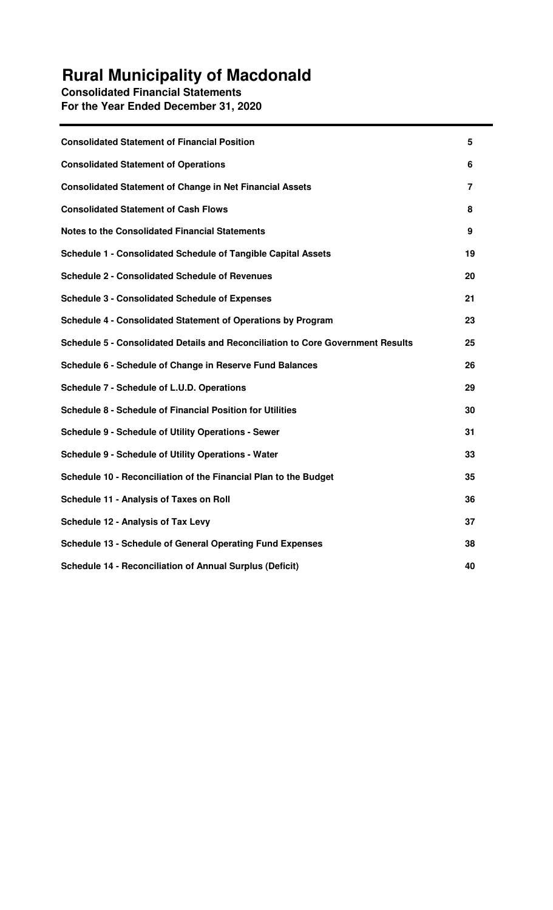## **Rural Municipality of Macdonald**

**Consolidated Financial Statements For the Year Ended December 31, 2020**

| <b>Consolidated Statement of Financial Position</b>                             | 5  |
|---------------------------------------------------------------------------------|----|
| <b>Consolidated Statement of Operations</b>                                     | 6  |
| <b>Consolidated Statement of Change in Net Financial Assets</b>                 | 7  |
| <b>Consolidated Statement of Cash Flows</b>                                     | 8  |
| <b>Notes to the Consolidated Financial Statements</b>                           | 9  |
| <b>Schedule 1 - Consolidated Schedule of Tangible Capital Assets</b>            | 19 |
| <b>Schedule 2 - Consolidated Schedule of Revenues</b>                           | 20 |
| <b>Schedule 3 - Consolidated Schedule of Expenses</b>                           | 21 |
| Schedule 4 - Consolidated Statement of Operations by Program                    | 23 |
| Schedule 5 - Consolidated Details and Reconciliation to Core Government Results | 25 |
| Schedule 6 - Schedule of Change in Reserve Fund Balances                        | 26 |
| Schedule 7 - Schedule of L.U.D. Operations                                      | 29 |
| <b>Schedule 8 - Schedule of Financial Position for Utilities</b>                | 30 |
| <b>Schedule 9 - Schedule of Utility Operations - Sewer</b>                      | 31 |
| <b>Schedule 9 - Schedule of Utility Operations - Water</b>                      | 33 |
| Schedule 10 - Reconciliation of the Financial Plan to the Budget                | 35 |
| Schedule 11 - Analysis of Taxes on Roll                                         | 36 |
| <b>Schedule 12 - Analysis of Tax Levy</b>                                       | 37 |
| Schedule 13 - Schedule of General Operating Fund Expenses                       | 38 |
| <b>Schedule 14 - Reconciliation of Annual Surplus (Deficit)</b>                 | 40 |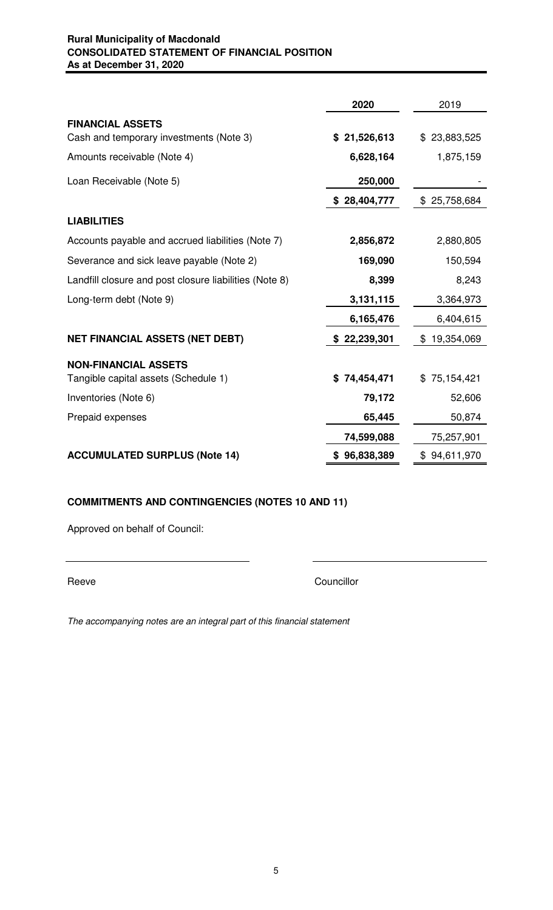## **Rural Municipality of Macdonald CONSOLIDATED STATEMENT OF FINANCIAL POSITION As at December 31, 2020**

|                                                                    | 2020         | 2019             |
|--------------------------------------------------------------------|--------------|------------------|
| <b>FINANCIAL ASSETS</b><br>Cash and temporary investments (Note 3) | \$21,526,613 | \$23,883,525     |
| Amounts receivable (Note 4)                                        | 6,628,164    | 1,875,159        |
| Loan Receivable (Note 5)                                           | 250,000      |                  |
|                                                                    | \$28,404,777 | 25,758,684<br>\$ |
| <b>LIABILITIES</b>                                                 |              |                  |
| Accounts payable and accrued liabilities (Note 7)                  | 2,856,872    | 2,880,805        |
| Severance and sick leave payable (Note 2)                          | 169,090      | 150,594          |
| Landfill closure and post closure liabilities (Note 8)             | 8,399        | 8,243            |
| Long-term debt (Note 9)                                            | 3,131,115    | 3,364,973        |
|                                                                    | 6,165,476    | 6,404,615        |
| <b>NET FINANCIAL ASSETS (NET DEBT)</b>                             | \$22,239,301 | \$19,354,069     |
| <b>NON-FINANCIAL ASSETS</b>                                        |              |                  |
| Tangible capital assets (Schedule 1)                               | \$74,454,471 | \$75,154,421     |
| Inventories (Note 6)                                               | 79,172       | 52,606           |
| Prepaid expenses                                                   | 65,445       | 50,874           |
|                                                                    | 74,599,088   | 75,257,901       |
| <b>ACCUMULATED SURPLUS (Note 14)</b>                               | \$96,838,389 | \$94,611,970     |

## **COMMITMENTS AND CONTINGENCIES (NOTES 10 AND 11)**

Approved on behalf of Council:

Reeve Councillor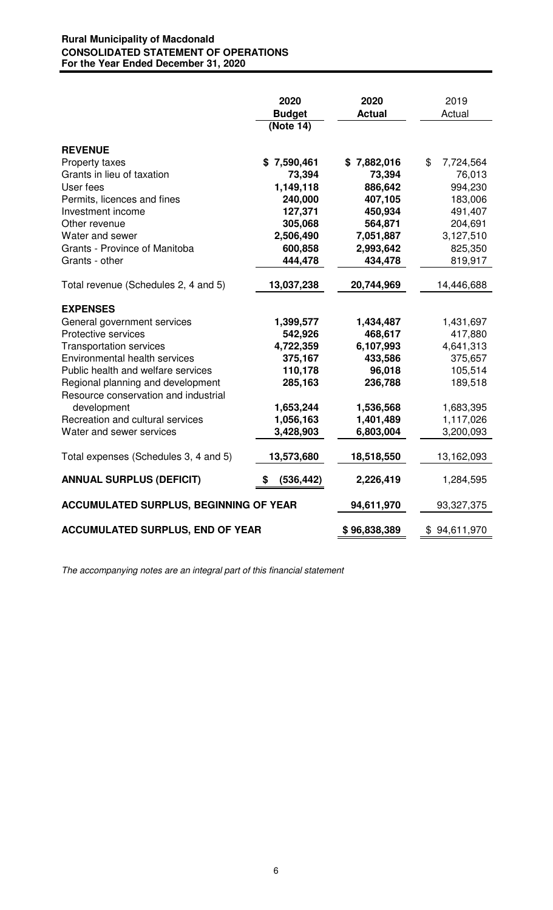## **Rural Municipality of Macdonald CONSOLIDATED STATEMENT OF OPERATIONS For the Year Ended December 31, 2020**

|                                               | 2020<br><b>Budget</b><br>(Note 14) | 2020<br><b>Actual</b> | 2019<br>Actual  |  |
|-----------------------------------------------|------------------------------------|-----------------------|-----------------|--|
| <b>REVENUE</b>                                |                                    |                       |                 |  |
| Property taxes                                | \$7,590,461                        | \$7,882,016           | \$<br>7,724,564 |  |
| Grants in lieu of taxation                    | 73,394                             | 73,394                | 76,013          |  |
| User fees                                     | 1,149,118                          | 886,642               | 994,230         |  |
| Permits, licences and fines                   | 240,000                            | 407,105               | 183,006         |  |
| Investment income                             | 127,371                            | 450,934               | 491,407         |  |
| Other revenue                                 | 305,068                            | 564,871               | 204,691         |  |
| Water and sewer                               | 2,506,490                          | 7,051,887             | 3,127,510       |  |
| Grants - Province of Manitoba                 | 600,858                            | 2,993,642             | 825,350         |  |
| Grants - other                                | 444,478                            | 434,478               | 819,917         |  |
| Total revenue (Schedules 2, 4 and 5)          | 13,037,238                         | 20,744,969            | 14,446,688      |  |
| <b>EXPENSES</b>                               |                                    |                       |                 |  |
| General government services                   | 1,399,577                          | 1,434,487             | 1,431,697       |  |
| Protective services                           | 542,926                            | 468,617               | 417,880         |  |
| <b>Transportation services</b>                | 4,722,359                          | 6,107,993             | 4,641,313       |  |
| Environmental health services                 | 375,167                            | 433,586               | 375,657         |  |
| Public health and welfare services            | 110,178                            | 96,018                | 105,514         |  |
| Regional planning and development             | 285,163                            | 236,788               | 189,518         |  |
| Resource conservation and industrial          |                                    |                       |                 |  |
| development                                   | 1,653,244                          | 1,536,568             | 1,683,395       |  |
| Recreation and cultural services              | 1,056,163                          | 1,401,489             | 1,117,026       |  |
| Water and sewer services                      | 3,428,903                          | 6,803,004             | 3,200,093       |  |
| Total expenses (Schedules 3, 4 and 5)         | 13,573,680                         | 18,518,550            | 13,162,093      |  |
| <b>ANNUAL SURPLUS (DEFICIT)</b>               | (536, 442)                         | 2,226,419             | 1,284,595       |  |
| <b>ACCUMULATED SURPLUS, BEGINNING OF YEAR</b> |                                    | 94,611,970            | 93,327,375      |  |
| <b>ACCUMULATED SURPLUS, END OF YEAR</b>       |                                    | \$96,838,389          | \$94,611,970    |  |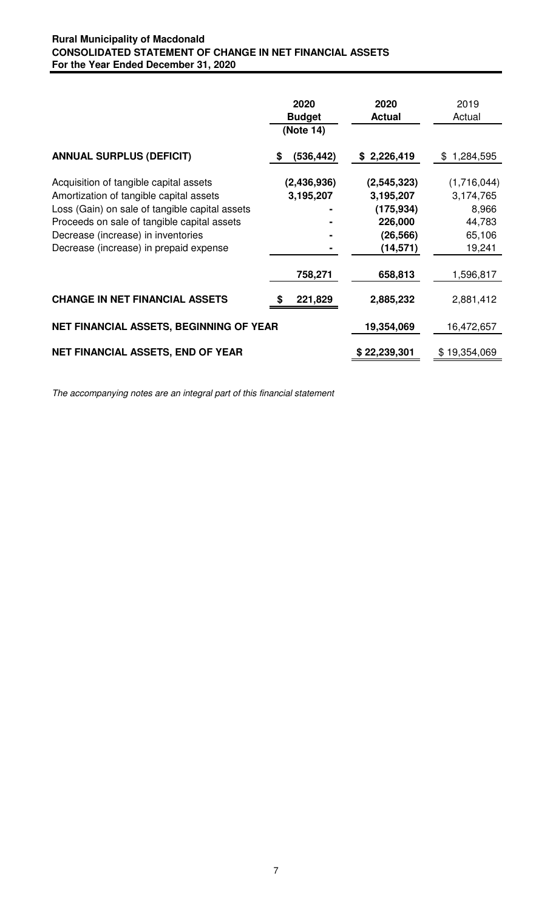## **Rural Municipality of Macdonald CONSOLIDATED STATEMENT OF CHANGE IN NET FINANCIAL ASSETS For the Year Ended December 31, 2020**

|                                                                                                                                                                                                                                                                    | 2020<br><b>Budget</b><br>(Note 14) | 2020<br><b>Actual</b>                                                         | 2019<br>Actual                                                  |
|--------------------------------------------------------------------------------------------------------------------------------------------------------------------------------------------------------------------------------------------------------------------|------------------------------------|-------------------------------------------------------------------------------|-----------------------------------------------------------------|
| <b>ANNUAL SURPLUS (DEFICIT)</b>                                                                                                                                                                                                                                    | (536, 442)<br>S                    | \$2,226,419                                                                   | 1,284,595<br>\$                                                 |
| Acquisition of tangible capital assets<br>Amortization of tangible capital assets<br>Loss (Gain) on sale of tangible capital assets<br>Proceeds on sale of tangible capital assets<br>Decrease (increase) in inventories<br>Decrease (increase) in prepaid expense | (2,436,936)<br>3,195,207           | (2, 545, 323)<br>3,195,207<br>(175, 934)<br>226,000<br>(26, 566)<br>(14, 571) | (1,716,044)<br>3,174,765<br>8,966<br>44,783<br>65,106<br>19,241 |
|                                                                                                                                                                                                                                                                    | 758,271                            | 658,813                                                                       | 1,596,817                                                       |
| <b>CHANGE IN NET FINANCIAL ASSETS</b>                                                                                                                                                                                                                              | 221,829                            | 2,885,232                                                                     | 2,881,412                                                       |
| NET FINANCIAL ASSETS, BEGINNING OF YEAR                                                                                                                                                                                                                            |                                    | 19,354,069                                                                    | 16,472,657                                                      |
| <b>NET FINANCIAL ASSETS, END OF YEAR</b>                                                                                                                                                                                                                           |                                    | \$22,239,301                                                                  | \$19,354,069                                                    |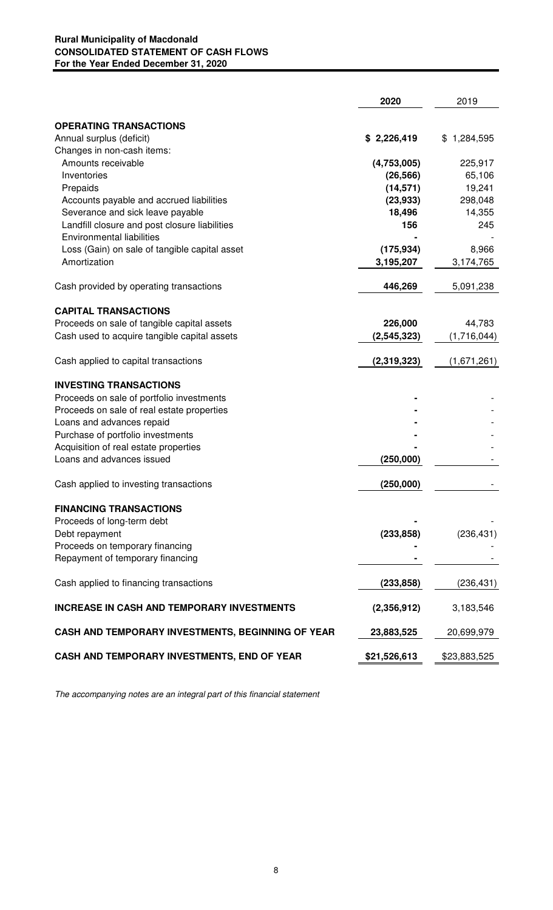## **Rural Municipality of Macdonald CONSOLIDATED STATEMENT OF CASH FLOWS For the Year Ended December 31, 2020**

|                                                                                   | 2020          | 2019          |
|-----------------------------------------------------------------------------------|---------------|---------------|
| <b>OPERATING TRANSACTIONS</b>                                                     |               |               |
| Annual surplus (deficit)                                                          | \$2,226,419   | \$1,284,595   |
| Changes in non-cash items:                                                        |               |               |
| Amounts receivable                                                                | (4,753,005)   | 225,917       |
| Inventories                                                                       | (26, 566)     | 65,106        |
| Prepaids                                                                          | (14, 571)     | 19,241        |
| Accounts payable and accrued liabilities                                          | (23, 933)     | 298,048       |
| Severance and sick leave payable                                                  | 18,496<br>156 | 14,355<br>245 |
| Landfill closure and post closure liabilities<br><b>Environmental liabilities</b> |               |               |
| Loss (Gain) on sale of tangible capital asset                                     | (175, 934)    | 8,966         |
| Amortization                                                                      | 3,195,207     | 3,174,765     |
|                                                                                   |               |               |
| Cash provided by operating transactions                                           | 446,269       | 5,091,238     |
| <b>CAPITAL TRANSACTIONS</b>                                                       |               |               |
| Proceeds on sale of tangible capital assets                                       | 226,000       | 44,783        |
| Cash used to acquire tangible capital assets                                      | (2, 545, 323) | (1,716,044)   |
| Cash applied to capital transactions                                              | (2,319,323)   | (1,671,261)   |
| <b>INVESTING TRANSACTIONS</b>                                                     |               |               |
| Proceeds on sale of portfolio investments                                         |               |               |
| Proceeds on sale of real estate properties                                        |               |               |
| Loans and advances repaid                                                         |               |               |
| Purchase of portfolio investments                                                 |               |               |
| Acquisition of real estate properties<br>Loans and advances issued                | (250,000)     |               |
|                                                                                   |               |               |
| Cash applied to investing transactions                                            | (250,000)     |               |
| <b>FINANCING TRANSACTIONS</b>                                                     |               |               |
| Proceeds of long-term debt                                                        |               |               |
| Debt repayment                                                                    | (233, 858)    | (236, 431)    |
| Proceeds on temporary financing                                                   |               |               |
| Repayment of temporary financing                                                  |               |               |
| Cash applied to financing transactions                                            | (233, 858)    | (236, 431)    |
| <b>INCREASE IN CASH AND TEMPORARY INVESTMENTS</b>                                 | (2,356,912)   | 3,183,546     |
| CASH AND TEMPORARY INVESTMENTS, BEGINNING OF YEAR                                 | 23,883,525    | 20,699,979    |
| CASH AND TEMPORARY INVESTMENTS, END OF YEAR                                       | \$21,526,613  | \$23,883,525  |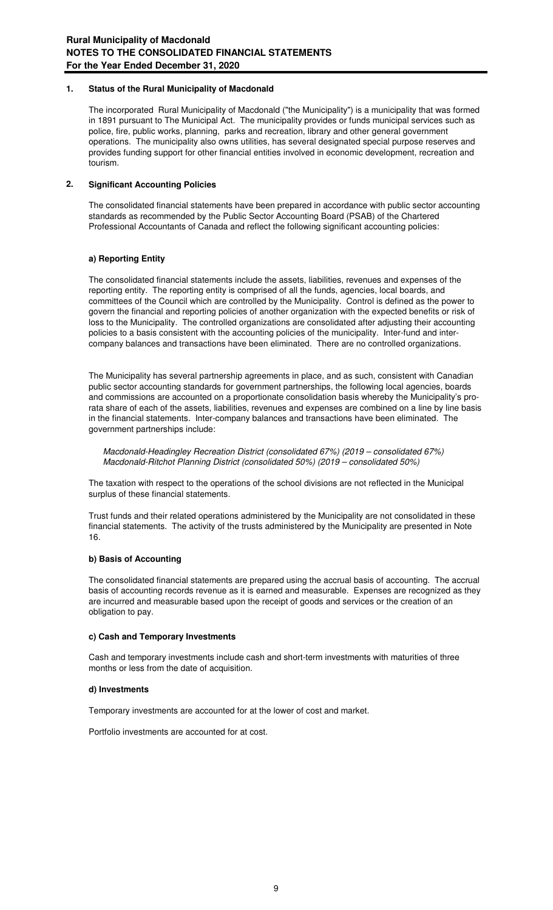#### **1. Status of the Rural Municipality of Macdonald**

The incorporated Rural Municipality of Macdonald ("the Municipality") is a municipality that was formed in 1891 pursuant to The Municipal Act. The municipality provides or funds municipal services such as police, fire, public works, planning, parks and recreation, library and other general government operations. The municipality also owns utilities, has several designated special purpose reserves and provides funding support for other financial entities involved in economic development, recreation and tourism.

#### **2. Significant Accounting Policies**

The consolidated financial statements have been prepared in accordance with public sector accounting standards as recommended by the Public Sector Accounting Board (PSAB) of the Chartered Professional Accountants of Canada and reflect the following significant accounting policies:

### **a) Reporting Entity**

The consolidated financial statements include the assets, liabilities, revenues and expenses of the reporting entity. The reporting entity is comprised of all the funds, agencies, local boards, and committees of the Council which are controlled by the Municipality. Control is defined as the power to govern the financial and reporting policies of another organization with the expected benefits or risk of loss to the Municipality. The controlled organizations are consolidated after adjusting their accounting policies to a basis consistent with the accounting policies of the municipality. Inter-fund and intercompany balances and transactions have been eliminated. There are no controlled organizations.

The Municipality has several partnership agreements in place, and as such, consistent with Canadian public sector accounting standards for government partnerships, the following local agencies, boards and commissions are accounted on a proportionate consolidation basis whereby the Municipality's prorata share of each of the assets, liabilities, revenues and expenses are combined on a line by line basis in the financial statements. Inter-company balances and transactions have been eliminated. The government partnerships include:

Macdonald-Headingley Recreation District (consolidated 67%) (2019 – consolidated 67%) Macdonald-Ritchot Planning District (consolidated 50%) (2019 – consolidated 50%)

The taxation with respect to the operations of the school divisions are not reflected in the Municipal surplus of these financial statements.

Trust funds and their related operations administered by the Municipality are not consolidated in these financial statements. The activity of the trusts administered by the Municipality are presented in Note 16.

#### **b) Basis of Accounting**

The consolidated financial statements are prepared using the accrual basis of accounting. The accrual basis of accounting records revenue as it is earned and measurable. Expenses are recognized as they are incurred and measurable based upon the receipt of goods and services or the creation of an obligation to pay.

#### **c) Cash and Temporary Investments**

Cash and temporary investments include cash and short-term investments with maturities of three months or less from the date of acquisition.

#### **d) Investments**

Temporary investments are accounted for at the lower of cost and market.

Portfolio investments are accounted for at cost.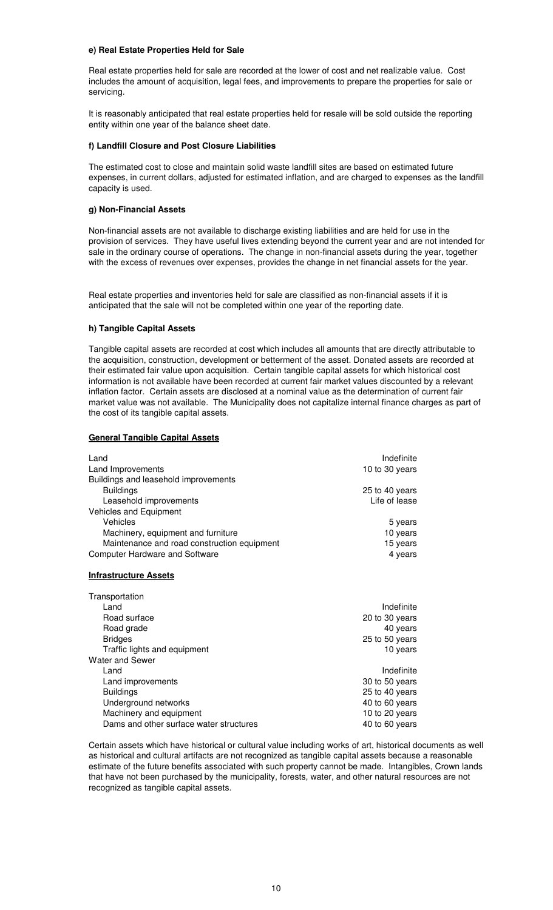#### **e) Real Estate Properties Held for Sale**

Real estate properties held for sale are recorded at the lower of cost and net realizable value. Cost includes the amount of acquisition, legal fees, and improvements to prepare the properties for sale or servicing.

It is reasonably anticipated that real estate properties held for resale will be sold outside the reporting entity within one year of the balance sheet date.

#### **f) Landfill Closure and Post Closure Liabilities**

The estimated cost to close and maintain solid waste landfill sites are based on estimated future expenses, in current dollars, adjusted for estimated inflation, and are charged to expenses as the landfill capacity is used.

#### **g) Non-Financial Assets**

Non-financial assets are not available to discharge existing liabilities and are held for use in the provision of services. They have useful lives extending beyond the current year and are not intended for sale in the ordinary course of operations. The change in non-financial assets during the year, together with the excess of revenues over expenses, provides the change in net financial assets for the year.

Real estate properties and inventories held for sale are classified as non-financial assets if it is anticipated that the sale will not be completed within one year of the reporting date.

#### **h) Tangible Capital Assets**

Tangible capital assets are recorded at cost which includes all amounts that are directly attributable to the acquisition, construction, development or betterment of the asset. Donated assets are recorded at their estimated fair value upon acquisition. Certain tangible capital assets for which historical cost information is not available have been recorded at current fair market values discounted by a relevant inflation factor. Certain assets are disclosed at a nominal value as the determination of current fair market value was not available. The Municipality does not capitalize internal finance charges as part of the cost of its tangible capital assets.

#### **General Tangible Capital Assets**

| Land                                        | Indefinite     |
|---------------------------------------------|----------------|
| Land Improvements                           | 10 to 30 years |
| Buildings and leasehold improvements        |                |
| <b>Buildings</b>                            | 25 to 40 years |
| Leasehold improvements                      | Life of lease  |
| Vehicles and Equipment                      |                |
| Vehicles                                    | 5 years        |
| Machinery, equipment and furniture          | 10 years       |
| Maintenance and road construction equipment | 15 years       |
| <b>Computer Hardware and Software</b>       | 4 years        |

#### **Infrastructure Assets**

| Transportation                          |                |
|-----------------------------------------|----------------|
| Land                                    | Indefinite     |
| Road surface                            | 20 to 30 years |
| Road grade                              | 40 years       |
| <b>Bridges</b>                          | 25 to 50 years |
| Traffic lights and equipment            | 10 years       |
| Water and Sewer                         |                |
| Land                                    | Indefinite     |
| Land improvements                       | 30 to 50 years |
| <b>Buildings</b>                        | 25 to 40 years |
| Underground networks                    | 40 to 60 years |
| Machinery and equipment                 | 10 to 20 years |
| Dams and other surface water structures | 40 to 60 years |
|                                         |                |

Certain assets which have historical or cultural value including works of art, historical documents as well as historical and cultural artifacts are not recognized as tangible capital assets because a reasonable estimate of the future benefits associated with such property cannot be made. Intangibles, Crown lands that have not been purchased by the municipality, forests, water, and other natural resources are not recognized as tangible capital assets.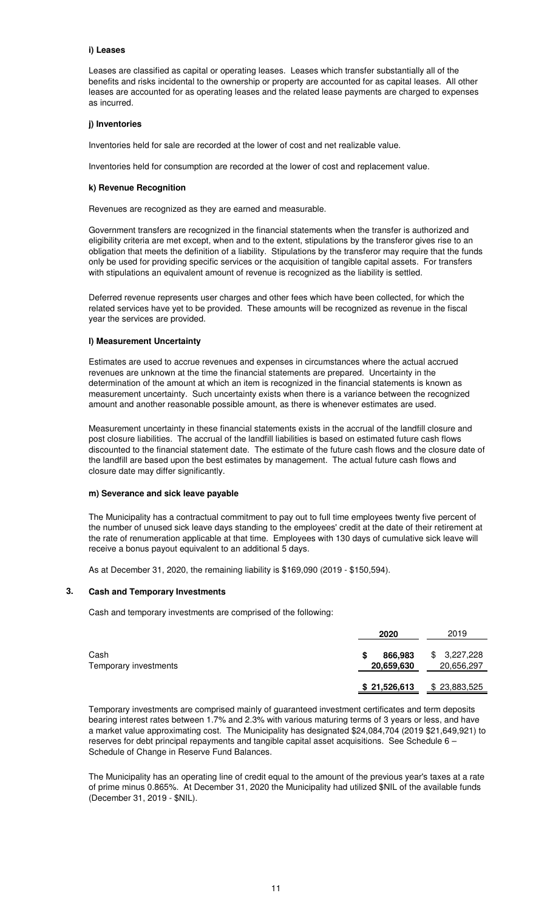#### **i) Leases**

Leases are classified as capital or operating leases. Leases which transfer substantially all of the benefits and risks incidental to the ownership or property are accounted for as capital leases. All other leases are accounted for as operating leases and the related lease payments are charged to expenses as incurred.

#### **j) Inventories**

Inventories held for sale are recorded at the lower of cost and net realizable value.

Inventories held for consumption are recorded at the lower of cost and replacement value.

#### **k) Revenue Recognition**

Revenues are recognized as they are earned and measurable.

Government transfers are recognized in the financial statements when the transfer is authorized and eligibility criteria are met except, when and to the extent, stipulations by the transferor gives rise to an obligation that meets the definition of a liability. Stipulations by the transferor may require that the funds only be used for providing specific services or the acquisition of tangible capital assets. For transfers with stipulations an equivalent amount of revenue is recognized as the liability is settled.

Deferred revenue represents user charges and other fees which have been collected, for which the related services have yet to be provided. These amounts will be recognized as revenue in the fiscal year the services are provided.

#### **l) Measurement Uncertainty**

Estimates are used to accrue revenues and expenses in circumstances where the actual accrued revenues are unknown at the time the financial statements are prepared. Uncertainty in the determination of the amount at which an item is recognized in the financial statements is known as measurement uncertainty. Such uncertainty exists when there is a variance between the recognized amount and another reasonable possible amount, as there is whenever estimates are used.

Measurement uncertainty in these financial statements exists in the accrual of the landfill closure and post closure liabilities. The accrual of the landfill liabilities is based on estimated future cash flows discounted to the financial statement date. The estimate of the future cash flows and the closure date of the landfill are based upon the best estimates by management. The actual future cash flows and closure date may differ significantly.

#### **m) Severance and sick leave payable**

The Municipality has a contractual commitment to pay out to full time employees twenty five percent of the number of unused sick leave days standing to the employees' credit at the date of their retirement at the rate of renumeration applicable at that time. Employees with 130 days of cumulative sick leave will receive a bonus payout equivalent to an additional 5 days.

As at December 31, 2020, the remaining liability is \$169,090 (2019 - \$150,594).

#### **3. Cash and Temporary Investments**

Cash and temporary investments are comprised of the following:

|                               | 2020                       | 2019                          |
|-------------------------------|----------------------------|-------------------------------|
| Cash<br>Temporary investments | 866,983<br>S<br>20,659,630 | 3,227,228<br>\$<br>20,656,297 |
|                               | \$21,526,613               | \$23,883,525                  |

Temporary investments are comprised mainly of guaranteed investment certificates and term deposits bearing interest rates between 1.7% and 2.3% with various maturing terms of 3 years or less, and have a market value approximating cost. The Municipality has designated \$24,084,704 (2019 \$21,649,921) to reserves for debt principal repayments and tangible capital asset acquisitions. See Schedule 6 – Schedule of Change in Reserve Fund Balances.

The Municipality has an operating line of credit equal to the amount of the previous year's taxes at a rate of prime minus 0.865%. At December 31, 2020 the Municipality had utilized \$NIL of the available funds (December 31, 2019 - \$NIL).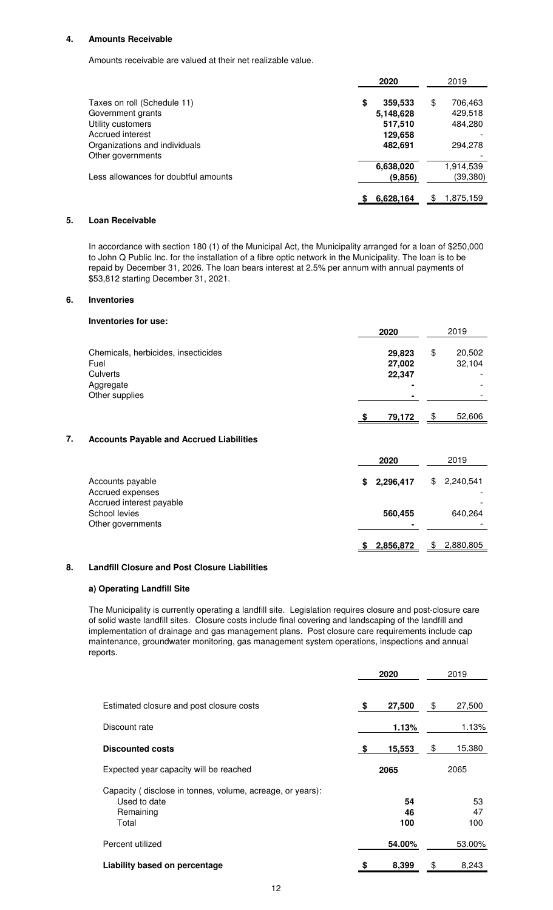#### **4. Amounts Receivable**

Amounts receivable are valued at their net realizable value.

|                                                   | 2020 |                      | 2019 |                    |
|---------------------------------------------------|------|----------------------|------|--------------------|
| Taxes on roll (Schedule 11)                       | \$   | 359,533              | \$   | 706,463            |
| Government grants<br>Utility customers            |      | 5,148,628<br>517,510 |      | 429,518<br>484,280 |
| Accrued interest<br>Organizations and individuals |      | 129,658<br>482,691   |      | 294,278            |
| Other governments                                 |      | 6,638,020            |      | 1,914,539          |
| Less allowances for doubtful amounts              |      | (9,856)              |      | (39,380)           |
|                                                   |      | 6,628,164            |      | 1,875,159          |

#### **5. Loan Receivable**

In accordance with section 180 (1) of the Municipal Act, the Municipality arranged for a loan of \$250,000 to John Q Public Inc. for the installation of a fibre optic network in the Municipality. The loan is to be repaid by December 31, 2026. The loan bears interest at 2.5% per annum with annual payments of \$53,812 starting December 31, 2021.

#### **6. Inventories**

|    | Inventories for use:                                                                   |                            |                        |
|----|----------------------------------------------------------------------------------------|----------------------------|------------------------|
|    |                                                                                        | 2020                       | 2019                   |
|    | Chemicals, herbicides, insecticides<br>Fuel<br>Culverts<br>Aggregate<br>Other supplies | 29,823<br>27,002<br>22,347 | \$<br>20,502<br>32,104 |
|    |                                                                                        | 79,172                     | \$<br>52,606           |
| 7. | <b>Accounts Payable and Accrued Liabilities</b>                                        |                            |                        |
|    |                                                                                        | 2020                       | 2019                   |
|    | Accounts payable<br>Accrued expenses                                                   | \$<br>2,296,417            | \$<br>2,240,541        |
|    | Accrued interest payable<br>School levies<br>Other governments                         | 560,455                    | 640,264                |

#### **8. Landfill Closure and Post Closure Liabilities**

#### **a) Operating Landfill Site**

The Municipality is currently operating a landfill site. Legislation requires closure and post-closure care of solid waste landfill sites. Closure costs include final covering and landscaping of the landfill and implementation of drainage and gas management plans. Post closure care requirements include cap maintenance, groundwater monitoring, gas management system operations, inspections and annual reports.

**\$ 2,856,872** \$ 2,880,805

|                                                                                                 | 2020 |                 | 2019            |  |
|-------------------------------------------------------------------------------------------------|------|-----------------|-----------------|--|
| Estimated closure and post closure costs                                                        | \$   | 27,500          | \$<br>27,500    |  |
| Discount rate                                                                                   |      | 1.13%           | 1.13%           |  |
| <b>Discounted costs</b>                                                                         | S    | 15,553          | \$<br>15,380    |  |
| Expected year capacity will be reached                                                          |      | 2065            | 2065            |  |
| Capacity (disclose in tonnes, volume, acreage, or years):<br>Used to date<br>Remaining<br>Total |      | 54<br>46<br>100 | 53<br>47<br>100 |  |
| Percent utilized                                                                                |      | 54.00%          | 53.00%          |  |
| Liability based on percentage                                                                   |      | 8,399           | \$<br>8,243     |  |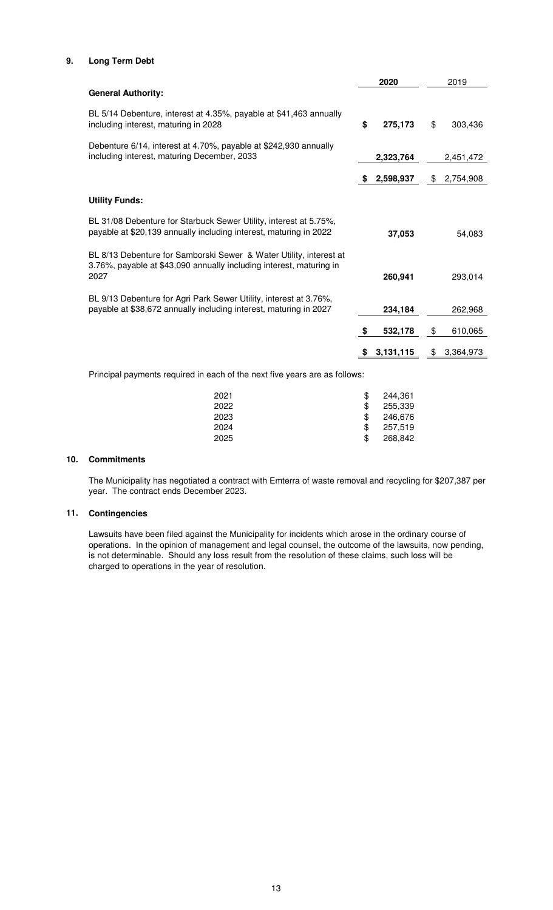### **9. Long Term Debt**

|                                                                                                                                                   |    | 2020      | 2019            |
|---------------------------------------------------------------------------------------------------------------------------------------------------|----|-----------|-----------------|
| <b>General Authority:</b>                                                                                                                         |    |           |                 |
| BL 5/14 Debenture, interest at 4.35%, payable at \$41,463 annually<br>including interest, maturing in 2028                                        | \$ | 275,173   | \$<br>303,436   |
| Debenture 6/14, interest at 4.70%, payable at \$242,930 annually<br>including interest, maturing December, 2033                                   |    | 2,323,764 | 2,451,472       |
|                                                                                                                                                   | S  | 2,598,937 | \$<br>2,754,908 |
| <b>Utility Funds:</b>                                                                                                                             |    |           |                 |
| BL 31/08 Debenture for Starbuck Sewer Utility, interest at 5.75%,<br>payable at \$20,139 annually including interest, maturing in 2022            |    | 37,053    | 54,083          |
| BL 8/13 Debenture for Samborski Sewer & Water Utility, interest at<br>3.76%, payable at \$43,090 annually including interest, maturing in<br>2027 |    | 260,941   | 293,014         |
| BL 9/13 Debenture for Agri Park Sewer Utility, interest at 3.76%,<br>payable at \$38,672 annually including interest, maturing in 2027            |    | 234,184   | 262,968         |
|                                                                                                                                                   | S. | 532,178   | \$<br>610,065   |
|                                                                                                                                                   |    | 3,131,115 | \$<br>3,364,973 |
| Principal payments required in each of the next five years are as follows:                                                                        |    |           |                 |

| 2021 | 244,361 |
|------|---------|
| 2022 | 255.339 |
| 2023 | 246.676 |
| 2024 | 257.519 |
| 2025 | 268,842 |

## **10. Commitments**

The Municipality has negotiated a contract with Emterra of waste removal and recycling for \$207,387 per year. The contract ends December 2023.

### **11. Contingencies**

Lawsuits have been filed against the Municipality for incidents which arose in the ordinary course of operations. In the opinion of management and legal counsel, the outcome of the lawsuits, now pending, is not determinable. Should any loss result from the resolution of these claims, such loss will be charged to operations in the year of resolution.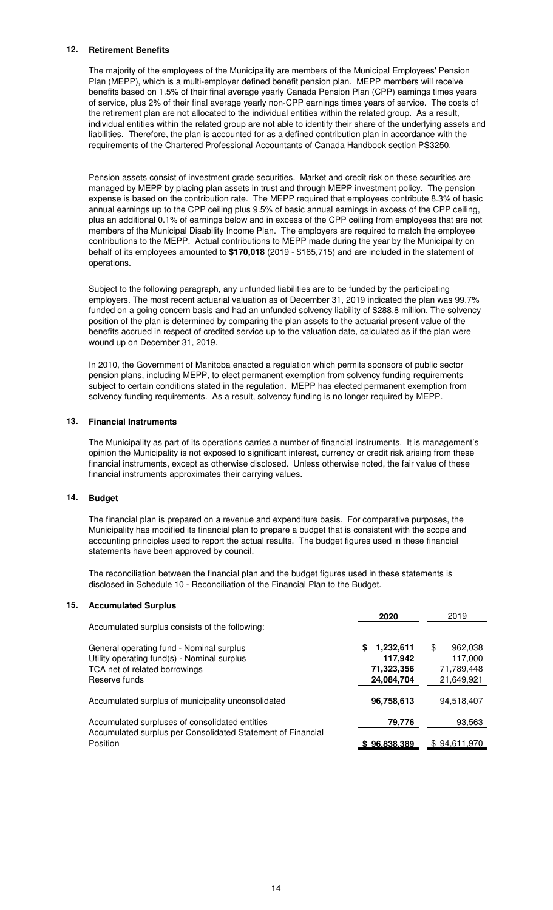#### **12. Retirement Benefits**

The majority of the employees of the Municipality are members of the Municipal Employees' Pension Plan (MEPP), which is a multi-employer defined benefit pension plan. MEPP members will receive benefits based on 1.5% of their final average yearly Canada Pension Plan (CPP) earnings times years of service, plus 2% of their final average yearly non-CPP earnings times years of service. The costs of the retirement plan are not allocated to the individual entities within the related group. As a result, individual entities within the related group are not able to identify their share of the underlying assets and liabilities. Therefore, the plan is accounted for as a defined contribution plan in accordance with the requirements of the Chartered Professional Accountants of Canada Handbook section PS3250.

Pension assets consist of investment grade securities. Market and credit risk on these securities are managed by MEPP by placing plan assets in trust and through MEPP investment policy. The pension expense is based on the contribution rate. The MEPP required that employees contribute 8.3% of basic annual earnings up to the CPP ceiling plus 9.5% of basic annual earnings in excess of the CPP ceiling, plus an additional 0.1% of earnings below and in excess of the CPP ceiling from employees that are not members of the Municipal Disability Income Plan. The employers are required to match the employee contributions to the MEPP. Actual contributions to MEPP made during the year by the Municipality on behalf of its employees amounted to **\$170,018** (2019 - \$165,715) and are included in the statement of operations.

Subject to the following paragraph, any unfunded liabilities are to be funded by the participating employers. The most recent actuarial valuation as of December 31, 2019 indicated the plan was 99.7% funded on a going concern basis and had an unfunded solvency liability of \$288.8 million. The solvency position of the plan is determined by comparing the plan assets to the actuarial present value of the benefits accrued in respect of credited service up to the valuation date, calculated as if the plan were wound up on December 31, 2019.

In 2010, the Government of Manitoba enacted a regulation which permits sponsors of public sector pension plans, including MEPP, to elect permanent exemption from solvency funding requirements subject to certain conditions stated in the regulation. MEPP has elected permanent exemption from solvency funding requirements. As a result, solvency funding is no longer required by MEPP.

#### **13. Financial Instruments**

The Municipality as part of its operations carries a number of financial instruments. It is management's opinion the Municipality is not exposed to significant interest, currency or credit risk arising from these financial instruments, except as otherwise disclosed. Unless otherwise noted, the fair value of these financial instruments approximates their carrying values.

### **14. Budget**

The financial plan is prepared on a revenue and expenditure basis. For comparative purposes, the Municipality has modified its financial plan to prepare a budget that is consistent with the scope and accounting principles used to report the actual results. The budget figures used in these financial statements have been approved by council.

The reconciliation between the financial plan and the budget figures used in these statements is disclosed in Schedule 10 - Reconciliation of the Financial Plan to the Budget.

#### **15. Accumulated Surplus**

| Accumulated surplus consists of the following:                                                                                            | 2020                                                   | 2019                                                 |
|-------------------------------------------------------------------------------------------------------------------------------------------|--------------------------------------------------------|------------------------------------------------------|
| General operating fund - Nominal surplus<br>Utility operating fund(s) - Nominal surplus<br>TCA net of related borrowings<br>Reserve funds | 1,232,611<br>\$<br>117,942<br>71,323,356<br>24,084,704 | \$<br>962.038<br>117,000<br>71,789,448<br>21,649,921 |
| Accumulated surplus of municipality unconsolidated                                                                                        | 96,758,613                                             | 94,518,407                                           |
| Accumulated surpluses of consolidated entities<br>Accumulated surplus per Consolidated Statement of Financial                             | 79.776                                                 | 93,563                                               |
| Position                                                                                                                                  | \$96,838,389                                           | \$94,611,970                                         |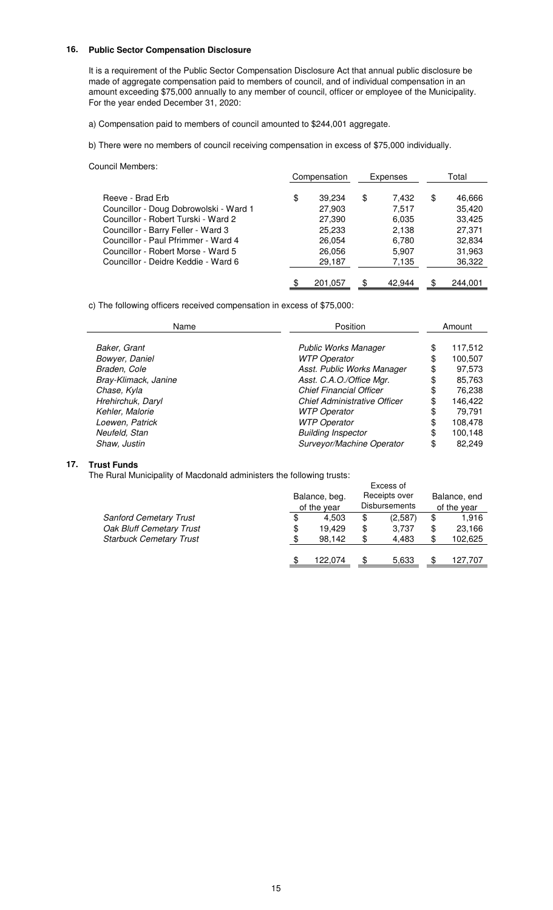#### **16. Public Sector Compensation Disclosure**

It is a requirement of the Public Sector Compensation Disclosure Act that annual public disclosure be made of aggregate compensation paid to members of council, and of individual compensation in an amount exceeding \$75,000 annually to any member of council, officer or employee of the Municipality. For the year ended December 31, 2020:

a) Compensation paid to members of council amounted to \$244,001 aggregate.

b) There were no members of council receiving compensation in excess of \$75,000 individually.

#### Council Members:

|                                        | Compensation |         | Expenses |        | Total |         |
|----------------------------------------|--------------|---------|----------|--------|-------|---------|
| Reeve - Brad Erb                       | \$           | 39.234  | \$       | 7,432  | \$    | 46,666  |
| Councillor - Doug Dobrowolski - Ward 1 |              | 27,903  |          | 7.517  |       | 35,420  |
| Councillor - Robert Turski - Ward 2    |              | 27,390  |          | 6,035  |       | 33,425  |
| Councillor - Barry Feller - Ward 3     |              | 25,233  |          | 2,138  |       | 27,371  |
| Councillor - Paul Pfrimmer - Ward 4    |              | 26,054  |          | 6,780  |       | 32,834  |
| Councillor - Robert Morse - Ward 5     |              | 26,056  |          | 5,907  |       | 31,963  |
| Councillor - Deidre Keddie - Ward 6    |              | 29,187  |          | 7,135  |       | 36,322  |
|                                        | \$           | 201.057 | S        | 42.944 | \$    | 244.001 |

c) The following officers received compensation in excess of \$75,000:

| Position<br>Name     |                                     | Amount        |
|----------------------|-------------------------------------|---------------|
| Baker, Grant         | <b>Public Works Manager</b>         | \$<br>117,512 |
| Bowyer, Daniel       | <b>WTP Operator</b>                 | \$<br>100,507 |
| Braden, Cole         | Asst. Public Works Manager          | \$<br>97,573  |
| Bray-Klimack, Janine | Asst. C.A.O./Office Mgr.            | \$<br>85,763  |
| Chase, Kyla          | <b>Chief Financial Officer</b>      | \$<br>76,238  |
| Hrehirchuk, Daryl    | <b>Chief Administrative Officer</b> | \$<br>146,422 |
| Kehler, Malorie      | <b>WTP Operator</b>                 | \$<br>79,791  |
| Loewen, Patrick      | <b>WTP Operator</b>                 | \$<br>108,478 |
| Neufeld, Stan        | <b>Building Inspector</b>           | \$<br>100,148 |
| Shaw, Justin         | Surveyor/Machine Operator           | \$<br>82.249  |

#### **17. Trust Funds**

The Rural Municipality of Macdonald administers the following trusts:

| ic i larar manioipality or macaoriala administers the rollowing trasts. |    |                              | Excess of                             |                             |
|-------------------------------------------------------------------------|----|------------------------------|---------------------------------------|-----------------------------|
|                                                                         |    | Balance, beg.<br>of the year | Receipts over<br><b>Disbursements</b> | Balance, end<br>of the year |
| <b>Sanford Cemetary Trust</b>                                           | \$ | 4.503                        | \$<br>(2,587)                         | \$<br>1.916                 |
| Oak Bluff Cemetary Trust                                                | \$ | 19.429                       | \$<br>3.737                           | \$<br>23,166                |
| <b>Starbuck Cemetary Trust</b>                                          | \$ | 98.142                       | \$<br>4.483                           | \$<br>102,625               |
|                                                                         |    | 122.074                      | 5.633                                 | 127.707                     |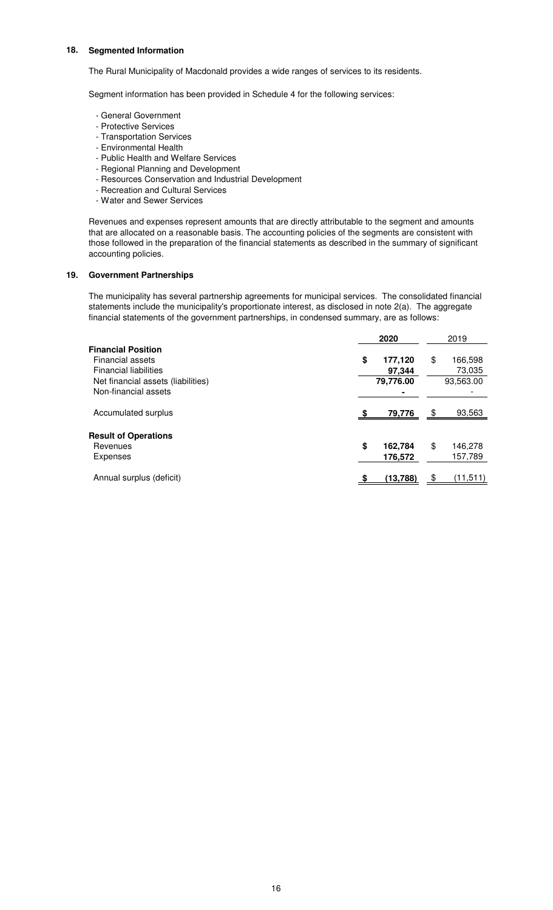#### **18. Segmented Information**

The Rural Municipality of Macdonald provides a wide ranges of services to its residents.

Segment information has been provided in Schedule 4 for the following services:

- General Government
- Protective Services
- Transportation Services
- Environmental Health
- Public Health and Welfare Services
- Regional Planning and Development
- Resources Conservation and Industrial Development
- Recreation and Cultural Services
- Water and Sewer Services

Revenues and expenses represent amounts that are directly attributable to the segment and amounts that are allocated on a reasonable basis. The accounting policies of the segments are consistent with those followed in the preparation of the financial statements as described in the summary of significant accounting policies.

#### **19. Government Partnerships**

The municipality has several partnership agreements for municipal services. The consolidated financial statements include the municipality's proportionate interest, as disclosed in note 2(a). The aggregate financial statements of the government partnerships, in condensed summary, are as follows:

|                                                                                                                     | 2020 |                                | 2019                                 |
|---------------------------------------------------------------------------------------------------------------------|------|--------------------------------|--------------------------------------|
| <b>Financial Position</b><br>Financial assets<br><b>Financial liabilities</b><br>Net financial assets (liabilities) | \$   | 177,120<br>97.344<br>79,776.00 | \$<br>166,598<br>73,035<br>93,563.00 |
| Non-financial assets<br>Accumulated surplus                                                                         |      | 79,776                         | \$<br>93,563                         |
| <b>Result of Operations</b><br>Revenues<br>Expenses                                                                 | \$   | 162,784<br>176,572             | \$<br>146,278<br>157,789             |
| Annual surplus (deficit)                                                                                            |      | (13, 788)                      | \$<br>(11,511)                       |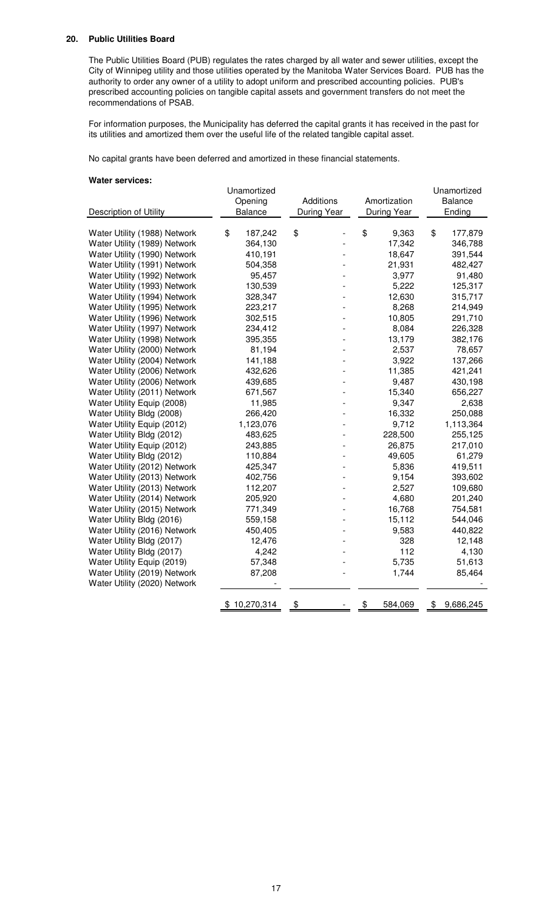#### **20. Public Utilities Board**

The Public Utilities Board (PUB) regulates the rates charged by all water and sewer utilities, except the City of Winnipeg utility and those utilities operated by the Manitoba Water Services Board. PUB has the authority to order any owner of a utility to adopt uniform and prescribed accounting policies. PUB's prescribed accounting policies on tangible capital assets and government transfers do not meet the recommendations of PSAB.

For information purposes, the Municipality has deferred the capital grants it has received in the past for its utilities and amortized them over the useful life of the related tangible capital asset.

No capital grants have been deferred and amortized in these financial statements.

#### **Water services:**

|                              | Unamortized  |         |             |  |              |             | Unamortized     |  |
|------------------------------|--------------|---------|-------------|--|--------------|-------------|-----------------|--|
|                              | Opening      |         | Additions   |  | Amortization |             | <b>Balance</b>  |  |
| Description of Utility       | Balance      |         | During Year |  |              | During Year | Ending          |  |
| Water Utility (1988) Network | \$           | 187,242 | \$          |  | \$           | 9,363       | \$<br>177,879   |  |
| Water Utility (1989) Network |              | 364,130 |             |  |              | 17,342      | 346,788         |  |
| Water Utility (1990) Network |              | 410,191 |             |  |              | 18,647      | 391,544         |  |
| Water Utility (1991) Network |              | 504,358 |             |  |              | 21,931      | 482,427         |  |
| Water Utility (1992) Network |              | 95,457  |             |  |              | 3,977       | 91,480          |  |
| Water Utility (1993) Network |              | 130,539 |             |  |              | 5,222       | 125,317         |  |
| Water Utility (1994) Network |              | 328,347 |             |  |              | 12,630      | 315,717         |  |
| Water Utility (1995) Network |              | 223,217 |             |  |              | 8,268       | 214,949         |  |
| Water Utility (1996) Network |              | 302,515 |             |  |              | 10,805      | 291,710         |  |
| Water Utility (1997) Network |              | 234,412 |             |  |              | 8,084       | 226,328         |  |
| Water Utility (1998) Network |              | 395,355 |             |  |              | 13,179      | 382,176         |  |
| Water Utility (2000) Network |              | 81,194  |             |  |              | 2,537       | 78,657          |  |
| Water Utility (2004) Network |              | 141,188 |             |  |              | 3,922       | 137,266         |  |
| Water Utility (2006) Network |              | 432,626 |             |  |              | 11,385      | 421,241         |  |
| Water Utility (2006) Network |              | 439,685 |             |  |              | 9,487       | 430,198         |  |
| Water Utility (2011) Network |              | 671,567 |             |  |              | 15,340      | 656,227         |  |
| Water Utility Equip (2008)   |              | 11,985  |             |  |              | 9,347       | 2,638           |  |
| Water Utility Bldg (2008)    |              | 266,420 |             |  |              | 16,332      | 250,088         |  |
| Water Utility Equip (2012)   | 1,123,076    |         |             |  |              | 9,712       | 1,113,364       |  |
| Water Utility Bldg (2012)    |              | 483,625 |             |  |              | 228,500     | 255,125         |  |
| Water Utility Equip (2012)   |              | 243,885 |             |  |              | 26,875      | 217,010         |  |
| Water Utility Bldg (2012)    |              | 110,884 |             |  |              | 49,605      | 61,279          |  |
| Water Utility (2012) Network |              | 425,347 |             |  |              | 5,836       | 419,511         |  |
| Water Utility (2013) Network |              | 402,756 |             |  |              | 9,154       | 393,602         |  |
| Water Utility (2013) Network |              | 112,207 |             |  |              | 2,527       | 109,680         |  |
| Water Utility (2014) Network |              | 205,920 |             |  |              | 4,680       | 201,240         |  |
| Water Utility (2015) Network |              | 771,349 |             |  |              | 16,768      | 754,581         |  |
| Water Utility Bldg (2016)    |              | 559,158 |             |  |              | 15,112      | 544,046         |  |
| Water Utility (2016) Network |              | 450,405 |             |  |              | 9,583       | 440,822         |  |
| Water Utility Bldg (2017)    |              | 12,476  |             |  |              | 328         | 12,148          |  |
| Water Utility Bldg (2017)    |              | 4,242   |             |  |              | 112         | 4,130           |  |
| Water Utility Equip (2019)   |              | 57,348  |             |  |              | 5,735       | 51,613          |  |
| Water Utility (2019) Network |              | 87,208  |             |  |              | 1,744       | 85,464          |  |
| Water Utility (2020) Network |              |         |             |  |              |             |                 |  |
|                              | \$10,270,314 |         | \$          |  | \$           | 584,069     | \$<br>9,686,245 |  |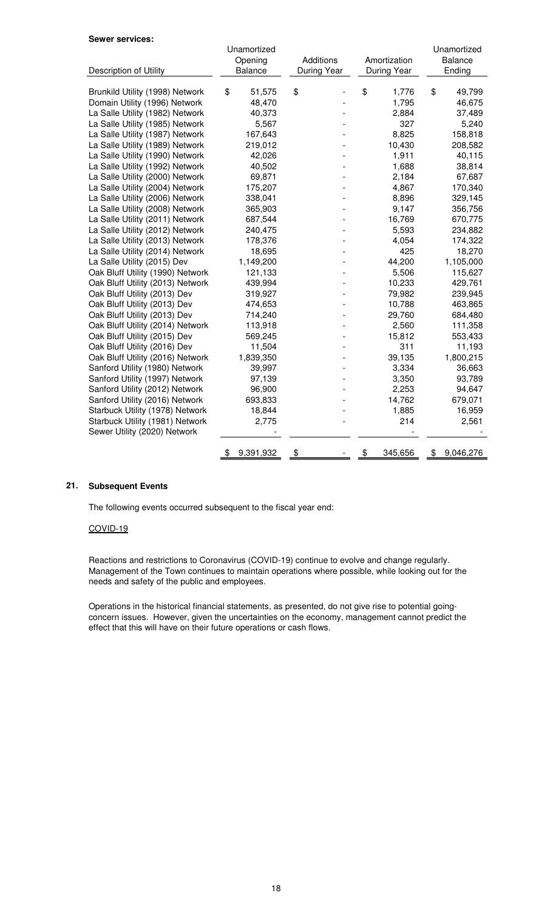#### **Sewer services:**

|                                  | Unamortized     |             |               | Unamortized<br><b>Balance</b> |
|----------------------------------|-----------------|-------------|---------------|-------------------------------|
|                                  | Opening         | Additions   | Amortization  |                               |
| Description of Utility           | Balance         | During Year | During Year   | Ending                        |
| Brunkild Utility (1998) Network  | \$<br>51,575    | \$          | \$<br>1,776   | \$<br>49,799                  |
| Domain Utility (1996) Network    | 48,470          |             | 1,795         | 46,675                        |
| La Salle Utility (1982) Network  | 40,373          |             | 2,884         | 37,489                        |
| La Salle Utility (1985) Network  | 5,567           |             | 327           | 5,240                         |
| La Salle Utility (1987) Network  | 167,643         |             | 8,825         | 158,818                       |
| La Salle Utility (1989) Network  | 219,012         |             | 10,430        | 208,582                       |
| La Salle Utility (1990) Network  | 42,026          |             | 1,911         | 40,115                        |
| La Salle Utility (1992) Network  | 40,502          |             | 1,688         | 38,814                        |
| La Salle Utility (2000) Network  | 69,871          |             | 2,184         | 67,687                        |
| La Salle Utility (2004) Network  | 175,207         |             | 4,867         | 170,340                       |
| La Salle Utility (2006) Network  | 338,041         |             | 8,896         | 329,145                       |
| La Salle Utility (2008) Network  | 365,903         |             | 9,147         | 356,756                       |
| La Salle Utility (2011) Network  | 687,544         |             | 16,769        | 670,775                       |
| La Salle Utility (2012) Network  | 240,475         |             | 5,593         |                               |
|                                  |                 |             |               | 234,882                       |
| La Salle Utility (2013) Network  | 178,376         |             | 4,054<br>425  | 174,322                       |
| La Salle Utility (2014) Network  | 18,695          |             |               | 18,270                        |
| La Salle Utility (2015) Dev      | 1,149,200       |             | 44,200        | 1,105,000                     |
| Oak Bluff Utility (1990) Network | 121,133         |             | 5,506         | 115,627                       |
| Oak Bluff Utility (2013) Network | 439,994         |             | 10,233        | 429,761                       |
| Oak Bluff Utility (2013) Dev     | 319,927         |             | 79,982        | 239,945                       |
| Oak Bluff Utility (2013) Dev     | 474,653         |             | 10,788        | 463,865                       |
| Oak Bluff Utility (2013) Dev     | 714,240         |             | 29,760        | 684,480                       |
| Oak Bluff Utility (2014) Network | 113,918         |             | 2,560         | 111,358                       |
| Oak Bluff Utility (2015) Dev     | 569,245         |             | 15,812        | 553,433                       |
| Oak Bluff Utility (2016) Dev     | 11,504          |             | 311           | 11,193                        |
| Oak Bluff Utility (2016) Network | 1,839,350       |             | 39,135        | 1,800,215                     |
| Sanford Utility (1980) Network   | 39,997          |             | 3,334         | 36,663                        |
| Sanford Utility (1997) Network   | 97,139          |             | 3,350         | 93,789                        |
| Sanford Utility (2012) Network   | 96,900          |             | 2,253         | 94,647                        |
| Sanford Utility (2016) Network   | 693,833         |             | 14,762        | 679,071                       |
| Starbuck Utility (1978) Network  | 18,844          |             | 1,885         | 16,959                        |
| Starbuck Utility (1981) Network  | 2,775           |             | 214           | 2,561                         |
| Sewer Utility (2020) Network     |                 |             |               |                               |
|                                  |                 |             |               |                               |
|                                  | 9,391,932<br>\$ | \$          | \$<br>345,656 | 9,046,276<br>\$               |

#### **21. Subsequent Events**

The following events occurred subsequent to the fiscal year end:

### COVID-19

Reactions and restrictions to Coronavirus (COVID-19) continue to evolve and change regularly. Management of the Town continues to maintain operations where possible, while looking out for the needs and safety of the public and employees.

Operations in the historical financial statements, as presented, do not give rise to potential goingconcern issues. However, given the uncertainties on the economy, management cannot predict the effect that this will have on their future operations or cash flows.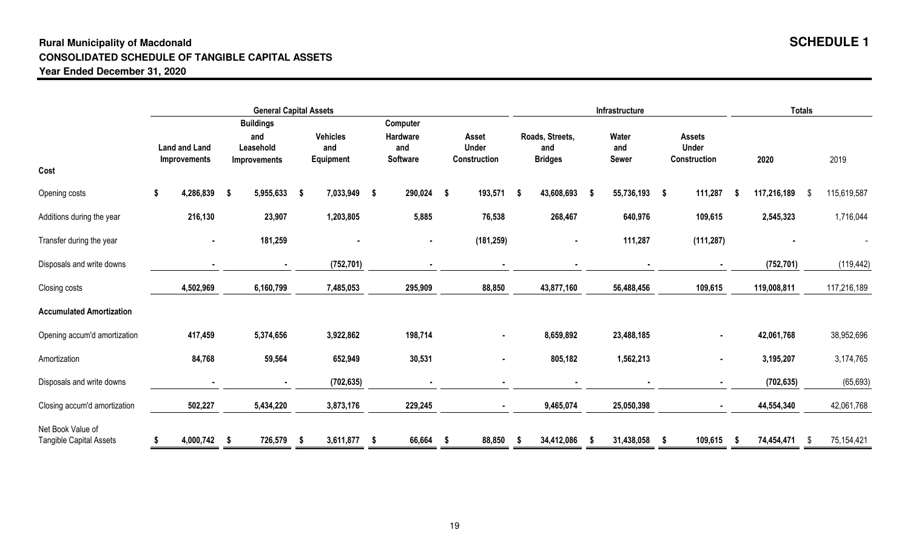## **Rural Municipality of MacdonaldCONSOLIDATED SCHEDULE OF TANGIBLE CAPITAL ASSETSYear Ended December 31, 2020**

|                                                     |                                      |                                                             | <b>General Capital Assets</b>       |                                         |                                       |                                          | Infrastructure               |                                               | <b>Totals</b>      |                   |
|-----------------------------------------------------|--------------------------------------|-------------------------------------------------------------|-------------------------------------|-----------------------------------------|---------------------------------------|------------------------------------------|------------------------------|-----------------------------------------------|--------------------|-------------------|
| Cost                                                | <b>Land and Land</b><br>Improvements | <b>Buildings</b><br>and<br>Leasehold<br><b>Improvements</b> | <b>Vehicles</b><br>and<br>Equipment | Computer<br>Hardware<br>and<br>Software | Asset<br><b>Under</b><br>Construction | Roads, Streets,<br>and<br><b>Bridges</b> | Water<br>and<br><b>Sewer</b> | <b>Assets</b><br><b>Under</b><br>Construction | 2020               | 2019              |
| Opening costs                                       | 4,286,839<br>\$                      | 5,955,633<br>-\$                                            | 7,033,949<br>$\sim$                 | 290,024<br>\$                           | 193,571<br>$\sim$                     | 43,608,693<br>- \$                       | 55,736,193 \$<br>- \$        | 111,287                                       | 117,216,189<br>-S  | 115,619,587<br>-S |
| Additions during the year                           | 216,130                              | 23,907                                                      | 1,203,805                           | 5,885                                   | 76,538                                | 268,467                                  | 640,976                      | 109,615                                       | 2,545,323          | 1,716,044         |
| Transfer during the year                            | $\sim$                               | 181,259                                                     |                                     | $\blacksquare$                          | (181, 259)                            |                                          | 111,287                      | (111, 287)                                    |                    |                   |
| Disposals and write downs                           |                                      | $\blacksquare$                                              | (752, 701)                          |                                         |                                       |                                          |                              |                                               | (752, 701)         | (119, 442)        |
| Closing costs                                       | 4,502,969                            | 6,160,799                                                   | 7,485,053                           | 295,909                                 | 88,850                                | 43,877,160                               | 56,488,456                   | 109,615                                       | 119,008,811        | 117,216,189       |
| <b>Accumulated Amortization</b>                     |                                      |                                                             |                                     |                                         |                                       |                                          |                              |                                               |                    |                   |
| Opening accum'd amortization                        | 417,459                              | 5,374,656                                                   | 3,922,862                           | 198,714                                 | $\blacksquare$                        | 8,659,892                                | 23,488,185                   | $\blacksquare$                                | 42,061,768         | 38,952,696        |
| Amortization                                        | 84,768                               | 59,564                                                      | 652,949                             | 30,531                                  |                                       | 805,182                                  | 1,562,213                    | $\blacksquare$                                | 3,195,207          | 3,174,765         |
| Disposals and write downs                           | $\sim$                               | $\sim$                                                      | (702, 635)                          | $\blacksquare$                          | $\sim$                                |                                          | $\blacksquare$               | $\blacksquare$                                | (702, 635)         | (65, 693)         |
| Closing accum'd amortization                        | 502,227                              | 5,434,220                                                   | 3,873,176                           | 229,245                                 | $\blacksquare$                        | 9,465,074                                | 25,050,398                   |                                               | 44,554,340         | 42,061,768        |
| Net Book Value of<br><b>Tangible Capital Assets</b> | 4,000,742                            | 726,579<br>- \$                                             | 3,611,877<br>- \$                   | 66,664<br>- \$                          | 88,850<br>- \$                        | 34,412,086<br>- \$                       | 31,438,058<br>- S            | 109,615<br>-S                                 | 74,454,471<br>- \$ | 75,154,421<br>-\$ |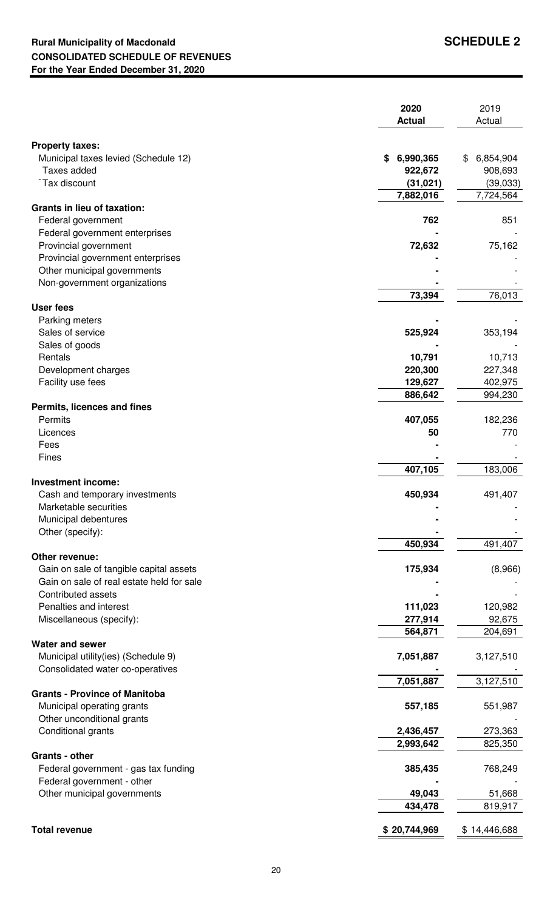|                                                             | 2020<br><b>Actual</b>  | 2019<br>Actual     |
|-------------------------------------------------------------|------------------------|--------------------|
| <b>Property taxes:</b>                                      |                        |                    |
| Municipal taxes levied (Schedule 12)                        | 6,990,365<br>\$        | 6,854,904<br>\$    |
| Taxes added                                                 | 922,672                | 908,693            |
| Tax discount                                                | (31, 021)              | (39,033)           |
|                                                             | 7,882,016              | 7,724,564          |
| <b>Grants in lieu of taxation:</b><br>Federal government    | 762                    | 851                |
| Federal government enterprises                              |                        |                    |
| Provincial government                                       | 72,632                 | 75,162             |
| Provincial government enterprises                           |                        |                    |
| Other municipal governments                                 |                        |                    |
| Non-government organizations                                |                        |                    |
|                                                             | 73,394                 | 76,013             |
| <b>User fees</b>                                            |                        |                    |
| Parking meters                                              |                        |                    |
| Sales of service                                            | 525,924                | 353,194            |
| Sales of goods<br>Rentals                                   | 10,791                 | 10,713             |
| Development charges                                         | 220,300                | 227,348            |
| Facility use fees                                           | 129,627                | 402,975            |
|                                                             | 886,642                | 994,230            |
| Permits, licences and fines                                 |                        |                    |
| Permits                                                     | 407,055                | 182,236            |
| Licences                                                    | 50                     | 770                |
| Fees                                                        |                        |                    |
| Fines                                                       |                        |                    |
|                                                             | 407,105                | 183,006            |
| <b>Investment income:</b><br>Cash and temporary investments | 450,934                | 491,407            |
| Marketable securities                                       |                        |                    |
| Municipal debentures                                        |                        |                    |
| Other (specify):                                            |                        |                    |
|                                                             | 450,934                | 491,407            |
| Other revenue:                                              |                        |                    |
| Gain on sale of tangible capital assets                     | 175,934                | (8,966)            |
| Gain on sale of real estate held for sale                   |                        |                    |
| Contributed assets                                          |                        |                    |
| Penalties and interest                                      | 111,023                | 120,982            |
| Miscellaneous (specify):                                    | 277,914<br>564,871     | 92,675<br>204,691  |
| <b>Water and sewer</b>                                      |                        |                    |
| Municipal utility(ies) (Schedule 9)                         | 7,051,887              | 3,127,510          |
| Consolidated water co-operatives                            |                        |                    |
|                                                             | 7,051,887              | 3,127,510          |
| <b>Grants - Province of Manitoba</b>                        |                        |                    |
| Municipal operating grants                                  | 557,185                | 551,987            |
| Other unconditional grants                                  |                        |                    |
| Conditional grants                                          | 2,436,457<br>2,993,642 | 273,363<br>825,350 |
| Grants - other                                              |                        |                    |
| Federal government - gas tax funding                        | 385,435                | 768,249            |
| Federal government - other                                  |                        |                    |
| Other municipal governments                                 | 49,043                 | 51,668             |
|                                                             | 434,478                | 819,917            |
|                                                             |                        |                    |
| <b>Total revenue</b>                                        | \$20,744,969           | \$14,446,688       |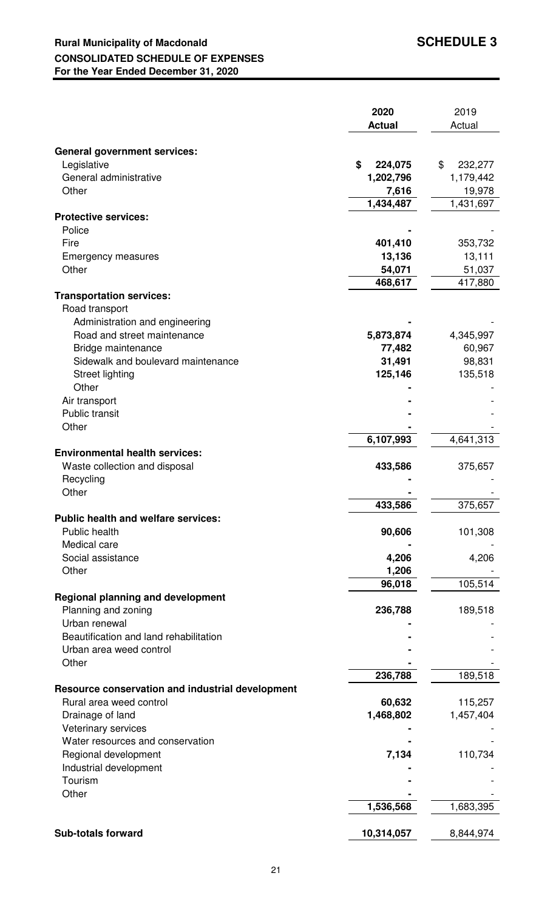## **Rural Municipality of Macdonald SCHEDULE 3 CONSOLIDATED SCHEDULE OF EXPENSES For the Year Ended December 31, 2020**

|                                                  | 2020                      | 2019          |
|--------------------------------------------------|---------------------------|---------------|
|                                                  | <b>Actual</b>             | Actual        |
|                                                  |                           |               |
| <b>General government services:</b>              |                           |               |
| Legislative                                      | \$<br>224,075             | \$<br>232,277 |
| General administrative                           | 1,202,796                 | 1,179,442     |
| Other                                            | 7,616                     | 19,978        |
| <b>Protective services:</b>                      | 1,434,487                 | 1,431,697     |
| Police                                           |                           |               |
| Fire                                             | 401,410                   | 353,732       |
| <b>Emergency measures</b>                        | 13,136                    | 13,111        |
| Other                                            | 54,071                    | 51,037        |
|                                                  | 468,617                   | 417,880       |
| <b>Transportation services:</b>                  |                           |               |
| Road transport                                   |                           |               |
| Administration and engineering                   |                           |               |
| Road and street maintenance                      | 5,873,874                 | 4,345,997     |
| Bridge maintenance                               | 77,482                    | 60,967        |
| Sidewalk and boulevard maintenance               | 31,491                    | 98,831        |
| <b>Street lighting</b>                           | 125,146                   | 135,518       |
| Other                                            |                           |               |
| Air transport                                    |                           |               |
| Public transit                                   |                           |               |
| Other                                            |                           |               |
|                                                  | $\overline{6}$ , 107, 993 | 4,641,313     |
| <b>Environmental health services:</b>            |                           |               |
| Waste collection and disposal                    | 433,586                   | 375,657       |
| Recycling                                        |                           |               |
| Other                                            | 433,586                   | 375,657       |
| <b>Public health and welfare services:</b>       |                           |               |
| Public health                                    | 90,606                    | 101,308       |
| Medical care                                     |                           |               |
| Social assistance                                | 4,206                     | 4,206         |
| Other                                            | 1,206                     |               |
|                                                  | 96,018                    | 105,514       |
| <b>Regional planning and development</b>         |                           |               |
| Planning and zoning                              | 236,788                   | 189,518       |
| Urban renewal                                    |                           |               |
| Beautification and land rehabilitation           |                           |               |
| Urban area weed control                          |                           |               |
| Other                                            |                           |               |
|                                                  | 236,788                   | 189,518       |
| Resource conservation and industrial development |                           |               |
| Rural area weed control                          | 60,632                    | 115,257       |
| Drainage of land                                 | 1,468,802                 | 1,457,404     |
| Veterinary services                              |                           |               |
| Water resources and conservation                 |                           |               |
| Regional development                             | 7,134                     | 110,734       |
| Industrial development                           |                           |               |
| Tourism                                          |                           |               |
| Other                                            | 1,536,568                 | 1,683,395     |
|                                                  |                           |               |
| <b>Sub-totals forward</b>                        | 10,314,057                | 8,844,974     |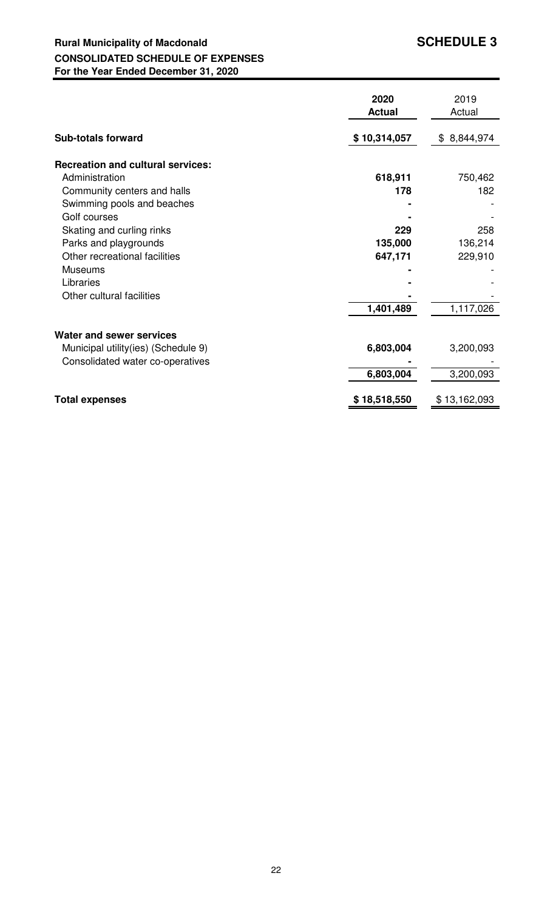## **Rural Municipality of Macdonald SCHEDULE 3 CONSOLIDATED SCHEDULE OF EXPENSES For the Year Ended December 31, 2020**

|                                          | 2020<br><b>Actual</b> | 2019<br>Actual |
|------------------------------------------|-----------------------|----------------|
| <b>Sub-totals forward</b>                | \$10,314,057          | \$8,844,974    |
| <b>Recreation and cultural services:</b> |                       |                |
| Administration                           | 618,911               | 750,462        |
| Community centers and halls              | 178                   | 182            |
| Swimming pools and beaches               |                       |                |
| Golf courses                             |                       |                |
| Skating and curling rinks                | 229                   | 258            |
| Parks and playgrounds                    | 135,000               | 136,214        |
| Other recreational facilities            | 647,171               | 229,910        |
| Museums                                  |                       |                |
| Libraries                                |                       |                |
| Other cultural facilities                |                       |                |
|                                          | 1,401,489             | 1,117,026      |
| Water and sewer services                 |                       |                |
| Municipal utility (ies) (Schedule 9)     | 6,803,004             | 3,200,093      |
| Consolidated water co-operatives         |                       |                |
|                                          | 6,803,004             | 3,200,093      |
|                                          |                       |                |
| <b>Total expenses</b>                    | \$18,518,550          | \$13,162,093   |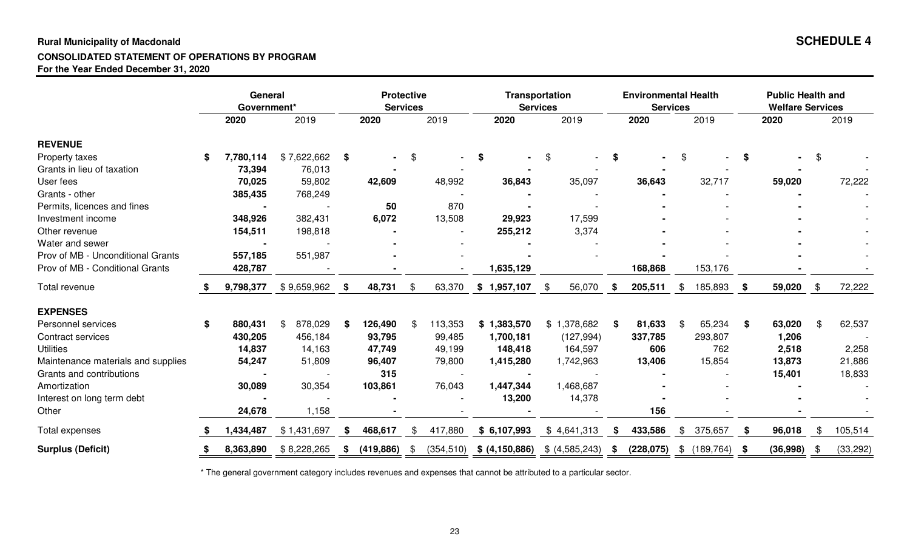#### **Rural Municipality of Macdonald SCHEDULE 4CONSOLIDATED STATEMENT OF OPERATIONS BY PROGRAMFor the Year Ended December 31, 2020**

|                                    |    | General<br>Government* |               |      | <b>Protective</b><br><b>Services</b> |     |         |                              | <b>Transportation</b><br><b>Services</b> |      | <b>Environmental Health</b><br><b>Services</b> |               | <b>Public Health and</b><br><b>Welfare Services</b> |     |           |
|------------------------------------|----|------------------------|---------------|------|--------------------------------------|-----|---------|------------------------------|------------------------------------------|------|------------------------------------------------|---------------|-----------------------------------------------------|-----|-----------|
|                                    |    | 2020                   | 2019          |      | 2020                                 |     | 2019    | 2020                         | 2019                                     |      | 2020                                           | 2019          | 2020                                                |     | 2019      |
| <b>REVENUE</b>                     |    |                        |               |      |                                      |     |         |                              |                                          |      |                                                |               |                                                     |     |           |
| Property taxes                     | \$ | 7,780,114              | \$7,622,662   | \$   |                                      | \$  |         | \$                           | \$                                       | \$   |                                                | \$            | \$                                                  | \$  |           |
| Grants in lieu of taxation         |    | 73,394                 | 76,013        |      |                                      |     |         |                              |                                          |      |                                                |               |                                                     |     |           |
| User fees                          |    | 70,025                 | 59,802        |      | 42,609                               |     | 48,992  | 36,843                       | 35,097                                   |      | 36,643                                         | 32,717        | 59,020                                              |     | 72,222    |
| Grants - other                     |    | 385,435                | 768,249       |      |                                      |     |         |                              |                                          |      |                                                |               |                                                     |     |           |
| Permits, licences and fines        |    | $\blacksquare$         |               |      | 50                                   |     | 870     |                              |                                          |      |                                                |               |                                                     |     |           |
| Investment income                  |    | 348,926                | 382,431       |      | 6,072                                |     | 13,508  | 29,923                       | 17,599                                   |      |                                                |               |                                                     |     |           |
| Other revenue                      |    | 154,511                | 198,818       |      |                                      |     |         | 255,212                      | 3,374                                    |      |                                                |               |                                                     |     |           |
| Water and sewer                    |    |                        |               |      |                                      |     |         |                              |                                          |      |                                                |               |                                                     |     |           |
| Prov of MB - Unconditional Grants  |    | 557,185                | 551,987       |      |                                      |     |         |                              |                                          |      |                                                |               |                                                     |     |           |
| Prov of MB - Conditional Grants    |    | 428,787                |               |      |                                      |     |         | 1,635,129                    |                                          |      | 168,868                                        | 153,176       |                                                     |     |           |
| Total revenue                      |    | 9,798,377              | \$9,659,962   | - \$ | 48,731                               | \$  | 63,370  | \$1,957,107                  | 56,070<br>-\$                            | - \$ | 205,511                                        | \$<br>185,893 | \$<br>59,020                                        | -\$ | 72,222    |
| <b>EXPENSES</b>                    |    |                        |               |      |                                      |     |         |                              |                                          |      |                                                |               |                                                     |     |           |
| Personnel services                 | \$ | 880,431                | 878,029<br>\$ | Ŝ.   | 126,490                              | -\$ | 113,353 | \$1,383,570                  | \$1,378,682                              | - \$ | 81,633                                         | \$<br>65,234  | \$<br>63,020                                        | -SS | 62,537    |
| Contract services                  |    | 430,205                | 456,184       |      | 93,795                               |     | 99,485  | 1,700,181                    | (127, 994)                               |      | 337,785                                        | 293,807       | 1,206                                               |     |           |
| <b>Utilities</b>                   |    | 14,837                 | 14,163        |      | 47,749                               |     | 49,199  | 148,418                      | 164,597                                  |      | 606                                            | 762           | 2,518                                               |     | 2,258     |
| Maintenance materials and supplies |    | 54,247                 | 51,809        |      | 96,407                               |     | 79,800  | 1,415,280                    | 1,742,963                                |      | 13,406                                         | 15,854        | 13,873                                              |     | 21,886    |
| Grants and contributions           |    |                        |               |      | 315                                  |     |         |                              |                                          |      |                                                |               | 15,401                                              |     | 18,833    |
| Amortization                       |    | 30,089                 | 30,354        |      | 103,861                              |     | 76,043  | 1,447,344                    | 1,468,687                                |      |                                                |               |                                                     |     |           |
| Interest on long term debt         |    |                        |               |      |                                      |     |         | 13,200                       | 14,378                                   |      |                                                |               |                                                     |     |           |
| Other                              |    | 24,678                 | 1,158         |      |                                      |     |         |                              |                                          |      | 156                                            |               |                                                     |     |           |
| Total expenses                     |    | 1,434,487              | \$1,431,697   | - \$ | 468,617                              | \$  | 417,880 | \$6,107,993                  | \$4,641,313                              | -5   | 433,586                                        | \$<br>375,657 | \$<br>96,018                                        |     | 105,514   |
| <b>Surplus (Deficit)</b>           | S  | 8,363,890              | \$8,228,265   | \$   | (419, 886)                           | -\$ |         | $(354,510)$ \$ $(4,150,886)$ | \$ (4,585,243)                           | -S   | (228,075)                                      | \$(189,764)   | \$<br>(36,998)                                      |     | (33, 292) |

\* The general government category includes revenues and expenses that cannot be attributed to a particular sector.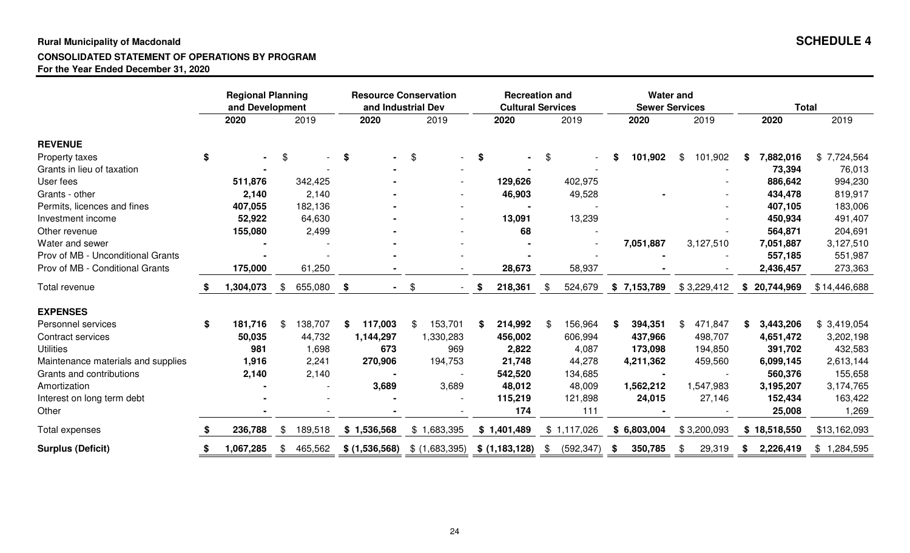#### **Rural Municipality of Macdonald SCHEDULE 4CONSOLIDATED STATEMENT OF OPERATIONS BY PROGRAMFor the Year Ended December 31, 2020**

|                                    | <b>Regional Planning</b><br>and Development |               |    | <b>Resource Conservation</b><br>and Industrial Dev |                           |                | <b>Recreation and</b><br><b>Cultural Services</b> |               |             |   | <b>Water and</b><br><b>Sewer Services</b> |               |    | <b>Total</b> |              |
|------------------------------------|---------------------------------------------|---------------|----|----------------------------------------------------|---------------------------|----------------|---------------------------------------------------|---------------|-------------|---|-------------------------------------------|---------------|----|--------------|--------------|
|                                    | 2020                                        | 2019          |    | 2020                                               |                           | 2019           | 2020                                              |               | 2019        |   | 2020                                      | 2019          |    | 2020         | 2019         |
| <b>REVENUE</b>                     |                                             |               |    |                                                    |                           |                |                                                   |               |             |   |                                           |               |    |              |              |
| Property taxes                     | \$                                          | \$            | \$ |                                                    | \$                        |                | \$                                                | \$            |             |   | 101,902                                   | \$<br>101,902 | \$ | 7,882,016    | \$7,724,564  |
| Grants in lieu of taxation         |                                             |               |    |                                                    |                           |                |                                                   |               |             |   |                                           |               |    | 73,394       | 76,013       |
| User fees                          | 511,876                                     | 342,425       |    |                                                    |                           |                | 129,626                                           |               | 402,975     |   |                                           |               |    | 886,642      | 994,230      |
| Grants - other                     | 2,140                                       | 2,140         |    |                                                    |                           |                | 46,903                                            |               | 49,528      |   |                                           |               |    | 434,478      | 819,917      |
| Permits, licences and fines        | 407,055                                     | 182,136       |    |                                                    |                           |                |                                                   |               |             |   |                                           |               |    | 407,105      | 183,006      |
| Investment income                  | 52,922                                      | 64,630        |    |                                                    |                           |                | 13,091                                            |               | 13,239      |   |                                           |               |    | 450,934      | 491,407      |
| Other revenue                      | 155,080                                     | 2,499         |    |                                                    |                           |                | 68                                                |               |             |   |                                           |               |    | 564,871      | 204,691      |
| Water and sewer                    |                                             |               |    |                                                    |                           |                |                                                   |               |             |   | 7,051,887                                 | 3,127,510     |    | 7,051,887    | 3,127,510    |
| Prov of MB - Unconditional Grants  |                                             |               |    |                                                    |                           |                |                                                   |               |             |   |                                           |               |    | 557,185      | 551,987      |
| Prov of MB - Conditional Grants    | 175,000                                     | 61,250        |    |                                                    |                           |                | 28,673                                            |               | 58,937      |   |                                           |               |    | 2,436,457    | 273,363      |
| Total revenue                      | 1,304,073                                   | \$<br>655,080 | \$ |                                                    | $\boldsymbol{\mathsf{S}}$ |                | \$<br>218,361                                     | \$            | 524,679     |   | \$7,153,789                               | \$3,229,412   | S. | 20,744,969   | \$14,446,688 |
| <b>EXPENSES</b>                    |                                             |               |    |                                                    |                           |                |                                                   |               |             |   |                                           |               |    |              |              |
| Personnel services                 | \$<br>181,716                               | \$<br>138,707 | S  | 117,003                                            | \$                        | 153,701        | 214,992                                           |               | 156,964     |   | 394,351                                   | \$<br>471,847 | \$ | 3,443,206    | \$3,419,054  |
| Contract services                  | 50,035                                      | 44,732        |    | 1,144,297                                          |                           | 1,330,283      | 456,002                                           |               | 606,994     |   | 437,966                                   | 498,707       |    | 4,651,472    | 3,202,198    |
| <b>Utilities</b>                   | 981                                         | 1,698         |    | 673                                                |                           | 969            | 2,822                                             |               | 4,087       |   | 173,098                                   | 194,850       |    | 391,702      | 432,583      |
| Maintenance materials and supplies | 1,916                                       | 2,241         |    | 270,906                                            |                           | 194,753        | 21,748                                            |               | 44,278      |   | 4,211,362                                 | 459,560       |    | 6,099,145    | 2,613,144    |
| Grants and contributions           | 2,140                                       | 2,140         |    |                                                    |                           |                | 542,520                                           |               | 134,685     |   |                                           |               |    | 560,376      | 155,658      |
| Amortization                       |                                             |               |    | 3,689                                              |                           | 3,689          | 48,012                                            |               | 48,009      |   | 1,562,212                                 | 1,547,983     |    | 3,195,207    | 3,174,765    |
| Interest on long term debt         |                                             |               |    |                                                    |                           |                | 115,219                                           |               | 121,898     |   | 24,015                                    | 27,146        |    | 152,434      | 163,422      |
| Other                              |                                             |               |    |                                                    |                           |                | 174                                               |               | 111         |   |                                           |               |    | 25,008       | 1,269        |
| Total expenses                     | 236,788                                     | \$<br>189,518 |    | \$1,536,568                                        |                           | \$1,683,395    | \$1,401,489                                       |               | \$1,117,026 |   | \$6,803,004                               | \$3,200,093   |    | \$18,518,550 | \$13,162,093 |
| <b>Surplus (Deficit)</b>           | \$<br>1,067,285                             | \$<br>465,562 |    | \$ (1,536,568)                                     |                           | \$ (1,683,395) | \$ (1,183,128)                                    | $\frac{1}{2}$ | (592, 347)  | S | 350,785                                   | \$<br>29,319  | \$ | 2,226,419    | \$1,284,595  |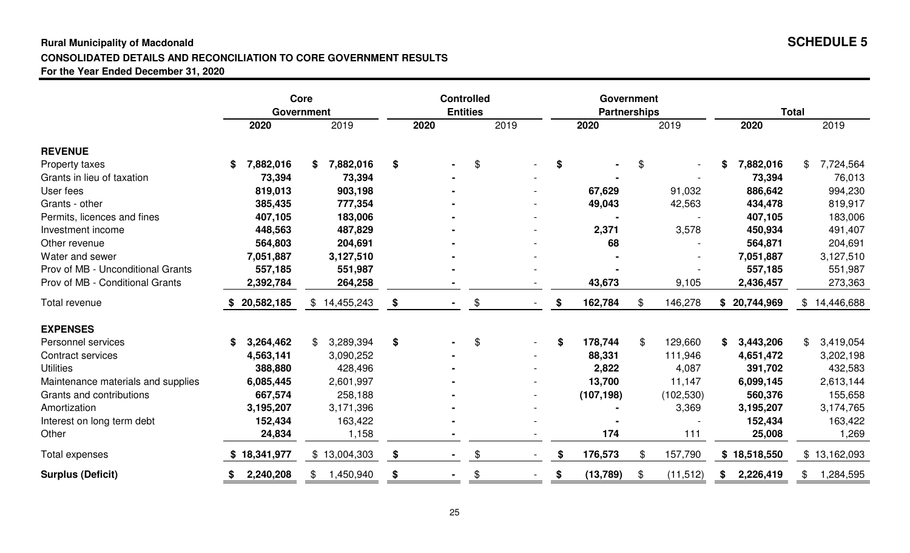#### **Rural Municipality of Macdonald SCHEDULE 5CONSOLIDATED DETAILS AND RECONCILIATION TO CORE GOVERNMENT RESULTSFor the Year Ended December 31, 2020**

|                                    |                 | Core<br><b>Government</b> | <b>Controlled</b><br><b>Entities</b> |      |    | Government<br><b>Partnerships</b> |                 |    | <b>Total</b> |                   |                   |
|------------------------------------|-----------------|---------------------------|--------------------------------------|------|----|-----------------------------------|-----------------|----|--------------|-------------------|-------------------|
|                                    | 2020            | 2019                      |                                      | 2020 |    | 2019                              | 2020            |    | 2019         | 2020              | 2019              |
| <b>REVENUE</b>                     |                 |                           |                                      |      |    |                                   |                 |    |              |                   |                   |
| Property taxes                     | \$<br>7,882,016 | 7,882,016<br>S.           | \$                                   |      | \$ |                                   | \$              | S  |              | 7,882,016<br>\$   | 7,724,564<br>\$   |
| Grants in lieu of taxation         | 73,394          | 73,394                    |                                      |      |    |                                   |                 |    |              | 73,394            | 76,013            |
| User fees                          | 819,013         | 903,198                   |                                      |      |    |                                   | 67,629          |    | 91,032       | 886,642           | 994,230           |
| Grants - other                     | 385,435         | 777,354                   |                                      |      |    |                                   | 49,043          |    | 42,563       | 434,478           | 819,917           |
| Permits, licences and fines        | 407,105         | 183,006                   |                                      |      |    |                                   |                 |    |              | 407,105           | 183,006           |
| Investment income                  | 448,563         | 487,829                   |                                      |      |    |                                   | 2,371           |    | 3,578        | 450,934           | 491,407           |
| Other revenue                      | 564,803         | 204,691                   |                                      |      |    |                                   | 68              |    |              | 564,871           | 204,691           |
| Water and sewer                    | 7,051,887       | 3,127,510                 |                                      |      |    |                                   |                 |    |              | 7,051,887         | 3,127,510         |
| Prov of MB - Unconditional Grants  | 557,185         | 551,987                   |                                      |      |    |                                   |                 |    |              | 557,185           | 551,987           |
| Prov of MB - Conditional Grants    | 2,392,784       | 264,258                   |                                      |      |    |                                   | 43,673          |    | 9,105        | 2,436,457         | 273,363           |
| Total revenue                      | 20,582,185      | \$14,455,243              | \$                                   |      | \$ |                                   | \$<br>162,784   | \$ | 146,278      | 20,744,969<br>\$. | 14,446,688<br>\$. |
| <b>EXPENSES</b>                    |                 |                           |                                      |      |    |                                   |                 |    |              |                   |                   |
| Personnel services                 | 3,264,462<br>\$ | 3,289,394                 | \$                                   |      | \$ |                                   | \$<br>178,744   | \$ | 129,660      | 3,443,206<br>\$   | 3,419,054<br>\$   |
| Contract services                  | 4,563,141       | 3,090,252                 |                                      |      |    |                                   | 88,331          |    | 111,946      | 4,651,472         | 3,202,198         |
| <b>Utilities</b>                   | 388,880         | 428,496                   |                                      |      |    |                                   | 2,822           |    | 4,087        | 391,702           | 432,583           |
| Maintenance materials and supplies | 6,085,445       | 2,601,997                 |                                      |      |    |                                   | 13,700          |    | 11,147       | 6,099,145         | 2,613,144         |
| Grants and contributions           | 667,574         | 258,188                   |                                      |      |    |                                   | (107, 198)      |    | (102, 530)   | 560,376           | 155,658           |
| Amortization                       | 3,195,207       | 3,171,396                 |                                      |      |    |                                   |                 |    | 3,369        | 3,195,207         | 3,174,765         |
| Interest on long term debt         | 152,434         | 163,422                   |                                      |      |    |                                   |                 |    |              | 152,434           | 163,422           |
| Other                              | 24,834          | 1,158                     |                                      |      |    |                                   | 174             |    | 111          | 25,008            | 1,269             |
| Total expenses                     | 18,341,977      | \$13,004,303              | \$                                   |      | \$ |                                   | \$<br>176,573   | \$ | 157,790      | \$18,518,550      | \$13,162,093      |
| <b>Surplus (Deficit)</b>           | 2,240,208       | 1,450,940                 | \$                                   |      | \$ |                                   | \$<br>(13, 789) | \$ | (11, 512)    | 2,226,419<br>\$   | 1,284,595<br>\$   |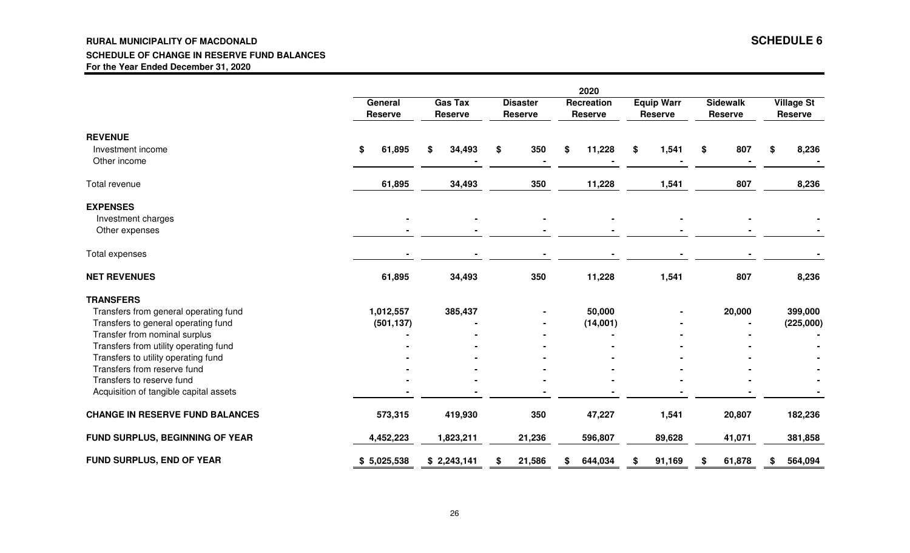#### **RURAL MUNICIPALITY OF MACDONALD SCHEDULE 6 SCHEDULE OF CHANGE IN RESERVE FUND BALANCESFor the Year Ended December 31, 2020**

|                                                                    | General<br><b>Reserve</b> | <b>Gas Tax</b><br><b>Reserve</b> | <b>Disaster</b><br><b>Reserve</b> | 2020<br>Recreation<br><b>Reserve</b> | <b>Equip Warr</b><br><b>Reserve</b> | <b>Sidewalk</b><br><b>Reserve</b> | <b>Village St</b><br><b>Reserve</b> |
|--------------------------------------------------------------------|---------------------------|----------------------------------|-----------------------------------|--------------------------------------|-------------------------------------|-----------------------------------|-------------------------------------|
| <b>REVENUE</b><br>Investment income<br>Other income                | 61,895<br>\$              | 34,493<br>\$                     | 350<br>\$                         | 11,228<br>\$                         | \$<br>1,541                         | 807<br>\$                         | 8,236<br>\$                         |
| Total revenue                                                      | 61,895                    | 34,493                           | 350                               | 11,228                               | 1,541                               | 807                               | 8,236                               |
| <b>EXPENSES</b>                                                    |                           |                                  |                                   |                                      |                                     |                                   |                                     |
| Investment charges<br>Other expenses                               |                           |                                  |                                   |                                      |                                     |                                   |                                     |
| Total expenses                                                     |                           |                                  |                                   |                                      |                                     |                                   |                                     |
| <b>NET REVENUES</b>                                                | 61,895                    | 34,493                           | 350                               | 11,228                               | 1,541                               | 807                               | 8,236                               |
| <b>TRANSFERS</b>                                                   |                           |                                  |                                   |                                      |                                     |                                   |                                     |
| Transfers from general operating fund                              | 1,012,557                 | 385,437                          |                                   | 50,000                               |                                     | 20,000                            | 399,000                             |
| Transfers to general operating fund                                | (501, 137)                |                                  |                                   | (14,001)                             |                                     |                                   | (225,000)                           |
| Transfer from nominal surplus                                      |                           |                                  |                                   |                                      |                                     |                                   |                                     |
| Transfers from utility operating fund                              |                           |                                  |                                   |                                      |                                     |                                   |                                     |
| Transfers to utility operating fund<br>Transfers from reserve fund |                           |                                  |                                   |                                      |                                     |                                   |                                     |
| Transfers to reserve fund                                          |                           |                                  |                                   |                                      |                                     |                                   |                                     |
| Acquisition of tangible capital assets                             |                           |                                  |                                   |                                      |                                     |                                   |                                     |
| <b>CHANGE IN RESERVE FUND BALANCES</b>                             | 573,315                   | 419,930                          | 350                               | 47,227                               | 1,541                               | 20,807                            | 182,236                             |
| FUND SURPLUS, BEGINNING OF YEAR                                    | 4,452,223                 | 1,823,211                        | 21,236                            | 596,807                              | 89,628                              | 41,071                            | 381,858                             |
| <b>FUND SURPLUS, END OF YEAR</b>                                   | \$5,025,538               | \$2,243,141                      | 21,586                            | 644,034                              | 91,169<br>S                         | 61,878<br>\$                      | 564,094<br>\$                       |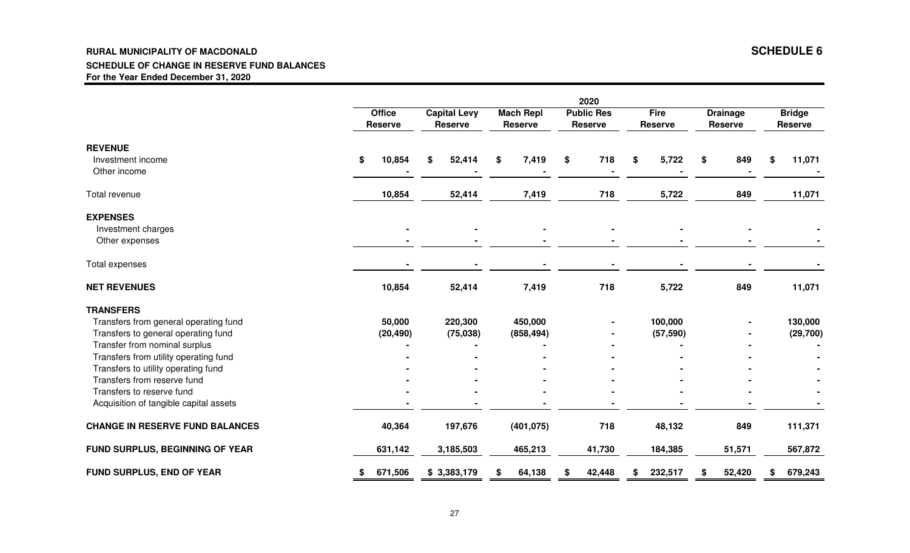#### **RURAL MUNICIPALITY OF MACDONALD SCHEDULE 6 SCHEDULE OF CHANGE IN RESERVE FUND BALANCESFor the Year Ended December 31, 2020**

|                                                                    | 2020 |                          |                                       |           |    |                                    |    |                                     |    |                               |    |                                   |                                 |
|--------------------------------------------------------------------|------|--------------------------|---------------------------------------|-----------|----|------------------------------------|----|-------------------------------------|----|-------------------------------|----|-----------------------------------|---------------------------------|
|                                                                    |      | <b>Office</b><br>Reserve | <b>Capital Levy</b><br><b>Reserve</b> |           |    | <b>Mach Repl</b><br><b>Reserve</b> |    | <b>Public Res</b><br><b>Reserve</b> |    | <b>Fire</b><br><b>Reserve</b> |    | <b>Drainage</b><br><b>Reserve</b> | <b>Bridge</b><br><b>Reserve</b> |
| <b>REVENUE</b>                                                     |      |                          |                                       |           |    |                                    |    |                                     |    |                               |    |                                   |                                 |
| Investment income<br>Other income                                  | \$   | 10,854                   | \$                                    | 52,414    | \$ | 7,419                              | \$ | 718                                 | S. | 5,722                         | \$ | 849                               | \$<br>11,071                    |
| Total revenue                                                      |      | 10,854                   |                                       | 52,414    |    | 7,419                              |    | 718                                 |    | 5,722                         |    | 849                               | 11,071                          |
| <b>EXPENSES</b>                                                    |      |                          |                                       |           |    |                                    |    |                                     |    |                               |    |                                   |                                 |
| Investment charges                                                 |      |                          |                                       |           |    |                                    |    |                                     |    |                               |    |                                   |                                 |
| Other expenses                                                     |      |                          |                                       |           |    |                                    |    |                                     |    |                               |    |                                   |                                 |
| Total expenses                                                     |      |                          |                                       |           |    |                                    |    |                                     |    |                               |    |                                   |                                 |
| <b>NET REVENUES</b>                                                |      | 10,854                   |                                       | 52,414    |    | 7,419                              |    | 718                                 |    | 5,722                         |    | 849                               | 11,071                          |
| <b>TRANSFERS</b>                                                   |      |                          |                                       |           |    |                                    |    |                                     |    |                               |    |                                   |                                 |
| Transfers from general operating fund                              |      | 50,000                   |                                       | 220,300   |    | 450,000                            |    |                                     |    | 100,000                       |    |                                   | 130,000                         |
| Transfers to general operating fund                                |      | (20, 490)                |                                       | (75, 038) |    | (858, 494)                         |    |                                     |    | (57, 590)                     |    |                                   | (29, 700)                       |
| Transfer from nominal surplus                                      |      |                          |                                       |           |    |                                    |    |                                     |    |                               |    |                                   |                                 |
| Transfers from utility operating fund                              |      |                          |                                       |           |    |                                    |    |                                     |    |                               |    |                                   |                                 |
| Transfers to utility operating fund<br>Transfers from reserve fund |      |                          |                                       |           |    |                                    |    |                                     |    |                               |    |                                   |                                 |
| Transfers to reserve fund                                          |      |                          |                                       |           |    |                                    |    |                                     |    |                               |    |                                   |                                 |
| Acquisition of tangible capital assets                             |      |                          |                                       |           |    |                                    |    |                                     |    |                               |    |                                   |                                 |
| <b>CHANGE IN RESERVE FUND BALANCES</b>                             |      | 40,364                   |                                       | 197,676   |    | (401, 075)                         |    | 718                                 |    | 48,132                        |    | 849                               | 111,371                         |
| FUND SURPLUS, BEGINNING OF YEAR                                    |      | 631,142                  |                                       | 3,185,503 |    | 465,213                            |    | 41,730                              |    | 184,385                       |    | 51,571                            | 567,872                         |
| <b>FUND SURPLUS, END OF YEAR</b>                                   |      | 671,506                  | \$3,383,179                           |           |    | 64,138                             |    | 42,448                              |    | 232,517                       | S  | 52,420                            | 679,243                         |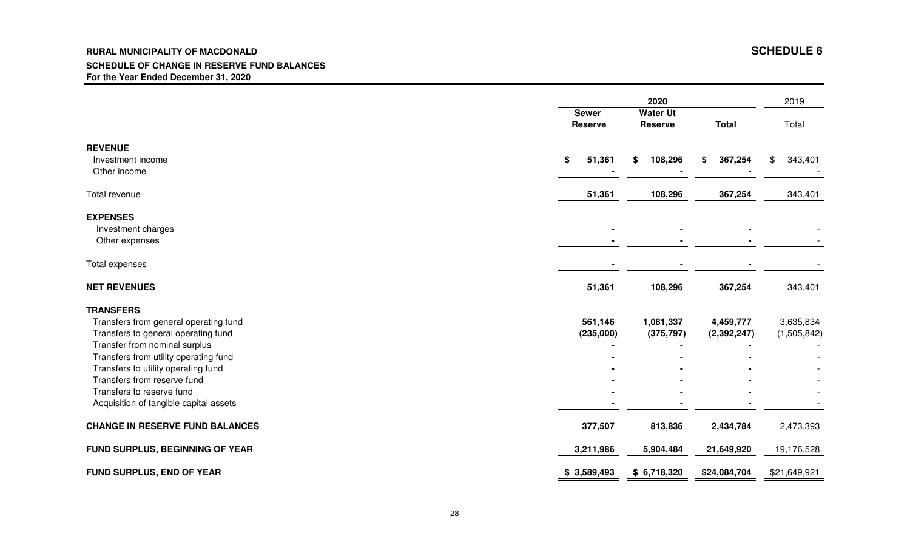#### **RURAL MUNICIPALITY OF MACDONALD SCHEDULE 6 SCHEDULE OF CHANGE IN RESERVE FUND BALANCESFor the Year Ended December 31, 2020**

|                                                                                                                                                                                                                                                                                                                         | <b>Sewer</b><br><b>Reserve</b> | 2020<br><b>Water Ut</b><br><b>Reserve</b> | <b>Total</b>               | 2019<br>Total            |
|-------------------------------------------------------------------------------------------------------------------------------------------------------------------------------------------------------------------------------------------------------------------------------------------------------------------------|--------------------------------|-------------------------------------------|----------------------------|--------------------------|
| <b>REVENUE</b><br>Investment income<br>Other income                                                                                                                                                                                                                                                                     | 51,361<br>\$                   | 108,296<br>\$                             | 367,254<br>\$              | 343,401<br>\$            |
| Total revenue                                                                                                                                                                                                                                                                                                           | 51,361                         | 108,296                                   | 367,254                    | 343,401                  |
| <b>EXPENSES</b><br>Investment charges<br>Other expenses                                                                                                                                                                                                                                                                 |                                |                                           |                            |                          |
| Total expenses                                                                                                                                                                                                                                                                                                          |                                |                                           |                            |                          |
| <b>NET REVENUES</b>                                                                                                                                                                                                                                                                                                     | 51,361                         | 108,296                                   | 367,254                    | 343,401                  |
| <b>TRANSFERS</b><br>Transfers from general operating fund<br>Transfers to general operating fund<br>Transfer from nominal surplus<br>Transfers from utility operating fund<br>Transfers to utility operating fund<br>Transfers from reserve fund<br>Transfers to reserve fund<br>Acquisition of tangible capital assets | 561,146<br>(235,000)           | 1,081,337<br>(375, 797)                   | 4,459,777<br>(2, 392, 247) | 3,635,834<br>(1,505,842) |
| <b>CHANGE IN RESERVE FUND BALANCES</b>                                                                                                                                                                                                                                                                                  | 377,507                        | 813,836                                   | 2,434,784                  | 2,473,393                |
| FUND SURPLUS, BEGINNING OF YEAR                                                                                                                                                                                                                                                                                         | 3,211,986                      | 5,904,484                                 | 21,649,920                 | 19,176,528               |
| FUND SURPLUS, END OF YEAR                                                                                                                                                                                                                                                                                               | \$3,589,493                    | \$6,718,320                               | \$24,084,704               | \$21,649,921             |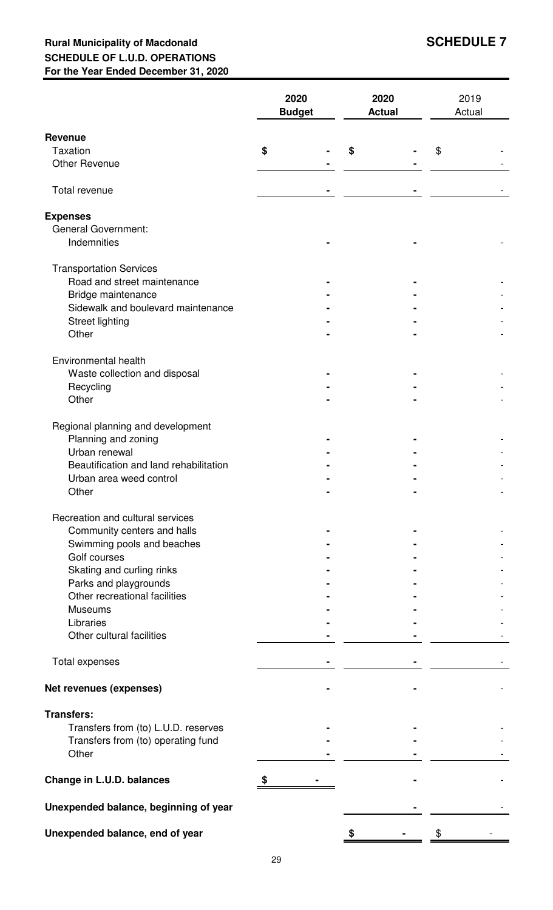## **Rural Municipality of Macdonald SCHEDULE 7 SCHEDULE OF L.U.D. OPERATIONS For the Year Ended December 31, 2020**

|                                           | 2020<br><b>Budget</b> | 2020<br><b>Actual</b> | 2019<br>Actual |  |
|-------------------------------------------|-----------------------|-----------------------|----------------|--|
| <b>Revenue</b>                            |                       |                       |                |  |
| <b>Taxation</b>                           | \$                    | S                     | \$             |  |
| <b>Other Revenue</b>                      |                       |                       |                |  |
| Total revenue                             |                       |                       |                |  |
| <b>Expenses</b>                           |                       |                       |                |  |
| <b>General Government:</b><br>Indemnities |                       |                       |                |  |
| <b>Transportation Services</b>            |                       |                       |                |  |
| Road and street maintenance               |                       |                       |                |  |
| Bridge maintenance                        |                       |                       |                |  |
| Sidewalk and boulevard maintenance        |                       |                       |                |  |
| Street lighting                           |                       |                       |                |  |
| Other                                     |                       |                       |                |  |
| Environmental health                      |                       |                       |                |  |
| Waste collection and disposal             |                       |                       |                |  |
| Recycling                                 |                       |                       |                |  |
| Other                                     |                       |                       |                |  |
| Regional planning and development         |                       |                       |                |  |
| Planning and zoning                       |                       |                       |                |  |
| Urban renewal                             |                       |                       |                |  |
| Beautification and land rehabilitation    |                       |                       |                |  |
| Urban area weed control                   |                       |                       |                |  |
| Other                                     |                       |                       |                |  |
| Recreation and cultural services          |                       |                       |                |  |
| Community centers and halls               |                       |                       |                |  |
| Swimming pools and beaches                |                       |                       |                |  |
| Golf courses                              |                       |                       |                |  |
| Skating and curling rinks                 |                       |                       |                |  |
| Parks and playgrounds                     |                       |                       |                |  |
| Other recreational facilities             |                       |                       |                |  |
| <b>Museums</b>                            |                       |                       |                |  |
| Libraries                                 |                       |                       |                |  |
| Other cultural facilities                 |                       |                       |                |  |
| Total expenses                            |                       |                       |                |  |
| Net revenues (expenses)                   |                       |                       |                |  |
| <b>Transfers:</b>                         |                       |                       |                |  |
| Transfers from (to) L.U.D. reserves       |                       |                       |                |  |
| Transfers from (to) operating fund        |                       |                       |                |  |
| Other                                     |                       |                       |                |  |
| Change in L.U.D. balances                 |                       |                       |                |  |
| Unexpended balance, beginning of year     |                       |                       |                |  |
| Unexpended balance, end of year           |                       |                       | \$             |  |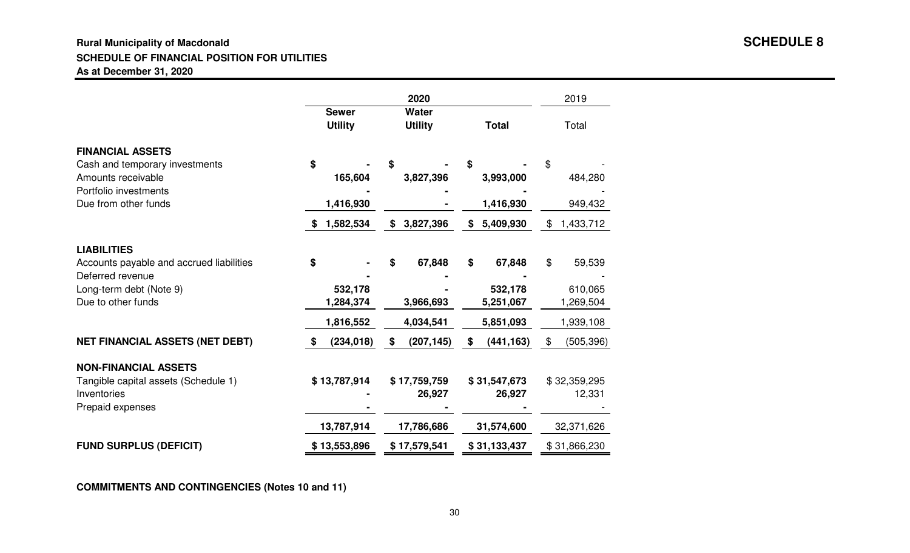#### **Rural Municipality of Macdonald SCHEDULE 8SCHEDULE OF FINANCIAL POSITION FOR UTILITIESAs at December 31, 2020**

|                                                                                                          |                                |                                | 2019                   |                        |
|----------------------------------------------------------------------------------------------------------|--------------------------------|--------------------------------|------------------------|------------------------|
|                                                                                                          | <b>Sewer</b><br><b>Utility</b> | <b>Water</b><br><b>Utility</b> | <b>Total</b>           | Total                  |
| <b>FINANCIAL ASSETS</b><br>Cash and temporary investments<br>Amounts receivable<br>Portfolio investments | \$<br>165,604                  | S<br>3,827,396                 | S<br>3,993,000         | \$<br>484,280          |
| Due from other funds                                                                                     | 1,416,930                      |                                | 1,416,930              | 949,432                |
|                                                                                                          | 1,582,534<br>\$                | 3,827,396<br>\$                | \$<br>5,409,930        | \$<br>1,433,712        |
| <b>LIABILITIES</b><br>Accounts payable and accrued liabilities<br>Deferred revenue                       | \$                             | 67,848<br>\$                   | \$<br>67,848           | \$<br>59,539           |
| Long-term debt (Note 9)<br>Due to other funds                                                            | 532,178<br>1,284,374           | 3,966,693                      | 532,178<br>5,251,067   | 610,065<br>1,269,504   |
|                                                                                                          | 1,816,552                      | 4,034,541                      | 5,851,093              | 1,939,108              |
| <b>NET FINANCIAL ASSETS (NET DEBT)</b>                                                                   | (234, 018)<br>\$               | \$<br>(207, 145)               | (441, 163)<br>\$       | \$<br>(505, 396)       |
| <b>NON-FINANCIAL ASSETS</b><br>Tangible capital assets (Schedule 1)<br>Inventories<br>Prepaid expenses   | \$13,787,914                   | \$17,759,759<br>26,927         | \$31,547,673<br>26,927 | \$32,359,295<br>12,331 |
|                                                                                                          | 13,787,914                     | 17,786,686                     | 31,574,600             | 32,371,626             |
| <b>FUND SURPLUS (DEFICIT)</b>                                                                            | \$13,553,896                   | \$17,579,541                   | \$31,133,437           | \$31,866,230           |

**COMMITMENTS AND CONTINGENCIES (Notes 10 and 11)**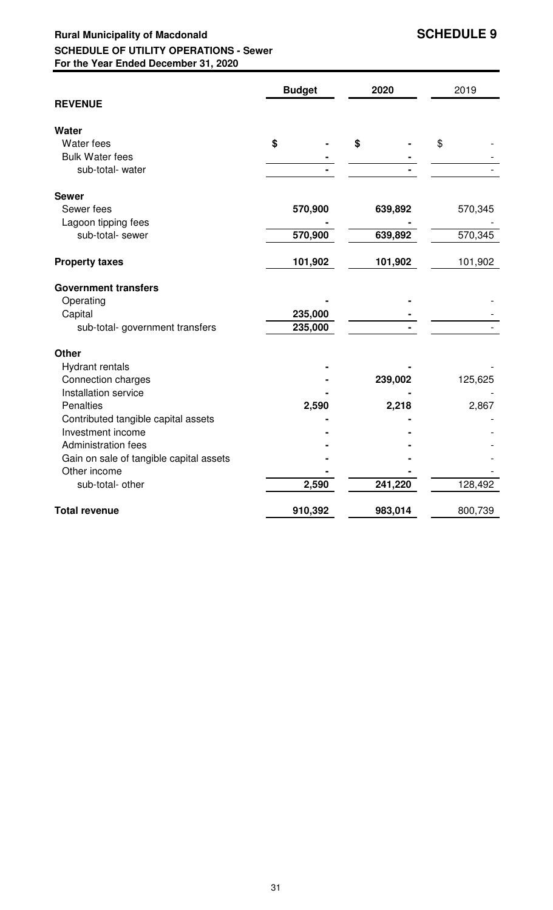## **Rural Municipality of Macdonald SCHEDULE 9 SCHEDULE OF UTILITY OPERATIONS - Sewer For the Year Ended December 31, 2020**

|                                         | <b>Budget</b> | 2020    | 2019    |
|-----------------------------------------|---------------|---------|---------|
| <b>REVENUE</b>                          |               |         |         |
| <b>Water</b>                            |               |         |         |
| Water fees                              | \$            | \$      | \$      |
| <b>Bulk Water fees</b>                  |               |         |         |
| sub-total- water                        |               |         |         |
| <b>Sewer</b>                            |               |         |         |
| Sewer fees                              | 570,900       | 639,892 | 570,345 |
| Lagoon tipping fees                     |               |         |         |
| sub-total- sewer                        | 570,900       | 639,892 | 570,345 |
| <b>Property taxes</b>                   | 101,902       | 101,902 | 101,902 |
| <b>Government transfers</b>             |               |         |         |
| Operating                               |               |         |         |
| Capital                                 | 235,000       |         |         |
| sub-total- government transfers         | 235,000       |         |         |
| <b>Other</b>                            |               |         |         |
| <b>Hydrant rentals</b>                  |               |         |         |
| Connection charges                      |               | 239,002 | 125,625 |
| Installation service                    |               |         |         |
| Penalties                               | 2,590         | 2,218   | 2,867   |
| Contributed tangible capital assets     |               |         |         |
| Investment income                       |               |         |         |
| Administration fees                     |               |         |         |
| Gain on sale of tangible capital assets |               |         |         |
| Other income                            |               |         |         |
| sub-total- other                        | 2,590         | 241,220 | 128,492 |
| <b>Total revenue</b>                    | 910,392       | 983,014 | 800,739 |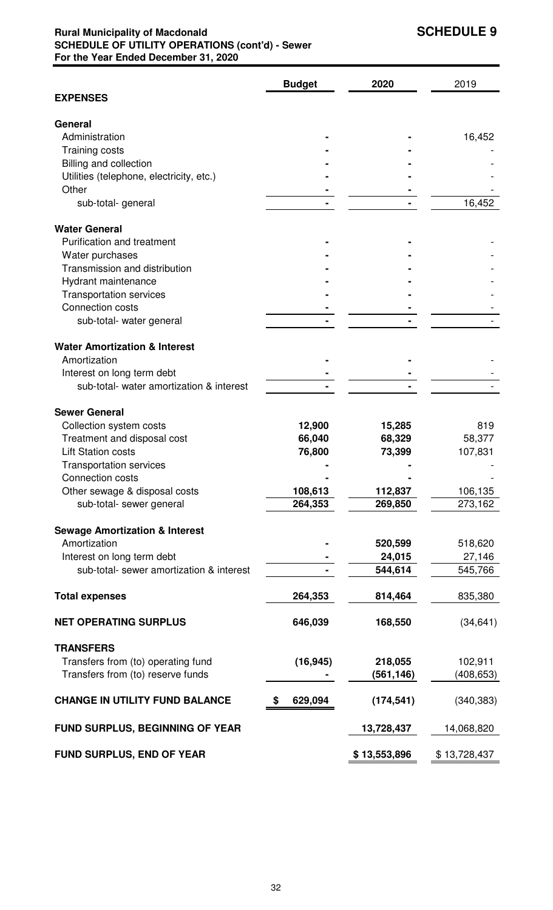## **Rural Municipality of Macdonald SCHEDULE 9 SCHEDULE OF UTILITY OPERATIONS (cont'd) - Sewer For the Year Ended December 31, 2020**

|                                                                        | <b>Budget</b> | 2020              | 2019         |
|------------------------------------------------------------------------|---------------|-------------------|--------------|
| <b>EXPENSES</b>                                                        |               |                   |              |
| General                                                                |               |                   |              |
| Administration                                                         |               |                   | 16,452       |
| Training costs                                                         |               |                   |              |
| Billing and collection                                                 |               |                   |              |
| Utilities (telephone, electricity, etc.)                               |               |                   |              |
| Other                                                                  |               |                   |              |
| sub-total-general                                                      |               |                   | 16,452       |
|                                                                        |               |                   |              |
| <b>Water General</b>                                                   |               |                   |              |
| Purification and treatment                                             |               |                   |              |
| Water purchases                                                        |               |                   |              |
| Transmission and distribution                                          |               |                   |              |
| Hydrant maintenance                                                    |               |                   |              |
| <b>Transportation services</b>                                         |               |                   |              |
| Connection costs                                                       |               |                   |              |
| sub-total- water general                                               |               |                   |              |
| <b>Water Amortization &amp; Interest</b>                               |               |                   |              |
| Amortization                                                           |               |                   |              |
| Interest on long term debt                                             |               |                   |              |
| sub-total- water amortization & interest                               |               |                   |              |
|                                                                        |               |                   |              |
| <b>Sewer General</b>                                                   |               |                   |              |
| Collection system costs                                                | 12,900        | 15,285            | 819          |
| Treatment and disposal cost                                            | 66,040        | 68,329            | 58,377       |
| <b>Lift Station costs</b>                                              | 76,800        | 73,399            | 107,831      |
| <b>Transportation services</b>                                         |               |                   |              |
| Connection costs                                                       |               |                   |              |
| Other sewage & disposal costs                                          | 108,613       | 112,837           | 106,135      |
| sub-total- sewer general                                               | 264,353       | 269,850           | 273,162      |
|                                                                        |               |                   |              |
| <b>Sewage Amortization &amp; Interest</b><br>Amortization              |               |                   |              |
|                                                                        |               | 520,599           | 518,620      |
| Interest on long term debt<br>sub-total- sewer amortization & interest |               | 24,015<br>544,614 | 27,146       |
|                                                                        |               |                   | 545,766      |
| <b>Total expenses</b>                                                  | 264,353       | 814,464           | 835,380      |
| <b>NET OPERATING SURPLUS</b>                                           | 646,039       | 168,550           | (34, 641)    |
| <b>TRANSFERS</b>                                                       |               |                   |              |
| Transfers from (to) operating fund                                     | (16, 945)     | 218,055           | 102,911      |
| Transfers from (to) reserve funds                                      |               | (561, 146)        | (408, 653)   |
|                                                                        |               |                   |              |
| <b>CHANGE IN UTILITY FUND BALANCE</b>                                  | 629,094       | (174, 541)        | (340, 383)   |
| <b>FUND SURPLUS, BEGINNING OF YEAR</b>                                 |               | 13,728,437        | 14,068,820   |
| <b>FUND SURPLUS, END OF YEAR</b>                                       |               | \$13,553,896      | \$13,728,437 |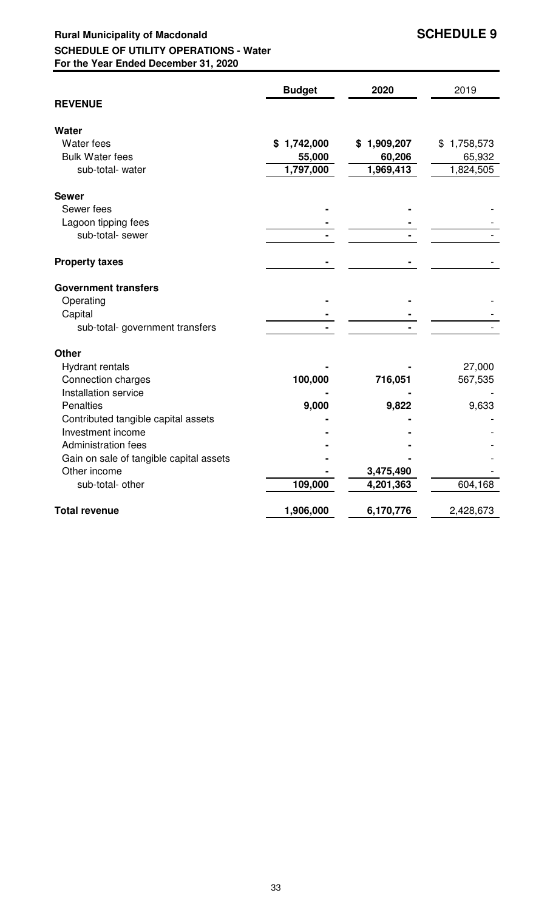## **Rural Municipality of Macdonald SCHEDULE 9 SCHEDULE OF UTILITY OPERATIONS - Water For the Year Ended December 31, 2020**

|                                                         | <b>Budget</b>   | 2020        | 2019            |
|---------------------------------------------------------|-----------------|-------------|-----------------|
| <b>REVENUE</b>                                          |                 |             |                 |
| Water                                                   |                 |             |                 |
| Water fees                                              | 1,742,000<br>\$ | \$1,909,207 | 1,758,573<br>\$ |
| <b>Bulk Water fees</b>                                  | 55,000          | 60,206      | 65,932          |
| sub-total- water                                        | 1,797,000       | 1,969,413   | 1,824,505       |
| <b>Sewer</b>                                            |                 |             |                 |
| Sewer fees                                              |                 |             |                 |
| Lagoon tipping fees                                     |                 |             |                 |
| sub-total- sewer                                        |                 |             |                 |
| <b>Property taxes</b>                                   |                 |             |                 |
| <b>Government transfers</b>                             |                 |             |                 |
| Operating                                               |                 |             |                 |
| Capital                                                 |                 |             |                 |
| sub-total- government transfers                         |                 |             |                 |
| <b>Other</b>                                            |                 |             |                 |
| <b>Hydrant rentals</b>                                  |                 |             | 27,000          |
| Connection charges                                      | 100,000         | 716,051     | 567,535         |
| Installation service                                    |                 |             |                 |
| Penalties                                               | 9,000           | 9,822       | 9,633           |
| Contributed tangible capital assets                     |                 |             |                 |
| Investment income                                       |                 |             |                 |
| <b>Administration fees</b>                              |                 |             |                 |
| Gain on sale of tangible capital assets<br>Other income |                 | 3,475,490   |                 |
| sub-total- other                                        | 109,000         | 4,201,363   | 604,168         |
| <b>Total revenue</b>                                    | 1,906,000       | 6,170,776   | 2,428,673       |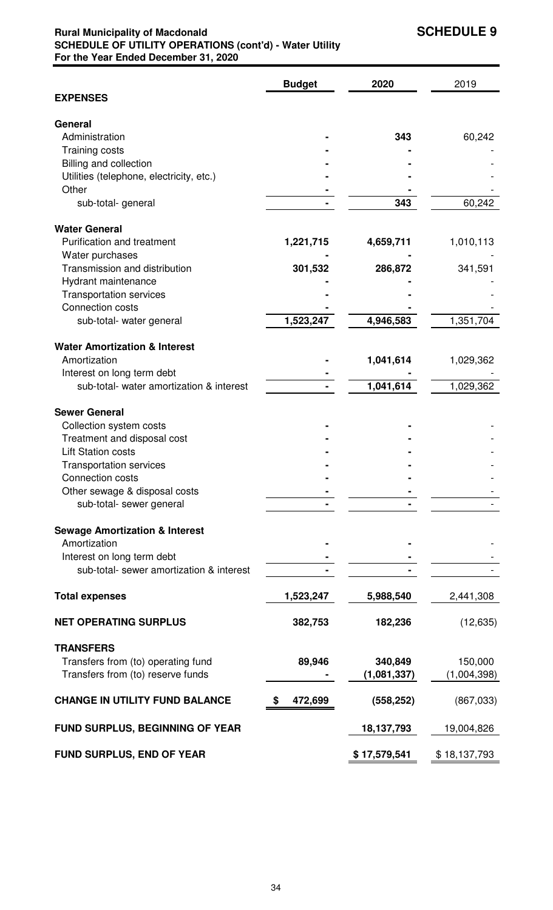## **Rural Municipality of Macdonald SCHEDULE 9 SCHEDULE OF UTILITY OPERATIONS (cont'd) - Water Utility For the Year Ended December 31, 2020**

|                                           | <b>Budget</b> | 2020         | 2019         |
|-------------------------------------------|---------------|--------------|--------------|
| <b>EXPENSES</b>                           |               |              |              |
| General                                   |               |              |              |
| Administration                            |               | 343          | 60,242       |
| <b>Training costs</b>                     |               |              |              |
| Billing and collection                    |               |              |              |
| Utilities (telephone, electricity, etc.)  |               |              |              |
| Other                                     |               |              |              |
| sub-total-general                         |               | 343          | 60,242       |
| <b>Water General</b>                      |               |              |              |
| <b>Purification and treatment</b>         | 1,221,715     | 4,659,711    | 1,010,113    |
| Water purchases                           |               |              |              |
| Transmission and distribution             | 301,532       | 286,872      | 341,591      |
| Hydrant maintenance                       |               |              |              |
| <b>Transportation services</b>            |               |              |              |
| Connection costs                          |               |              |              |
| sub-total- water general                  | 1,523,247     | 4,946,583    | 1,351,704    |
| <b>Water Amortization &amp; Interest</b>  |               |              |              |
| Amortization                              |               | 1,041,614    | 1,029,362    |
| Interest on long term debt                |               |              |              |
| sub-total- water amortization & interest  |               | 1,041,614    | 1,029,362    |
| <b>Sewer General</b>                      |               |              |              |
| Collection system costs                   |               |              |              |
| Treatment and disposal cost               |               |              |              |
| <b>Lift Station costs</b>                 |               |              |              |
| <b>Transportation services</b>            |               |              |              |
| Connection costs                          |               |              |              |
| Other sewage & disposal costs             |               |              |              |
| sub-total- sewer general                  |               |              |              |
| <b>Sewage Amortization &amp; Interest</b> |               |              |              |
| Amortization                              |               |              |              |
| Interest on long term debt                |               |              |              |
| sub-total- sewer amortization & interest  |               |              |              |
| <b>Total expenses</b>                     | 1,523,247     | 5,988,540    | 2,441,308    |
| <b>NET OPERATING SURPLUS</b>              | 382,753       | 182,236      | (12, 635)    |
| <b>TRANSFERS</b>                          |               |              |              |
| Transfers from (to) operating fund        | 89,946        | 340,849      | 150,000      |
| Transfers from (to) reserve funds         |               | (1,081,337)  | (1,004,398)  |
| <b>CHANGE IN UTILITY FUND BALANCE</b>     | 472,699       | (558, 252)   | (867, 033)   |
| FUND SURPLUS, BEGINNING OF YEAR           |               | 18,137,793   | 19,004,826   |
| FUND SURPLUS, END OF YEAR                 |               | \$17,579,541 | \$18,137,793 |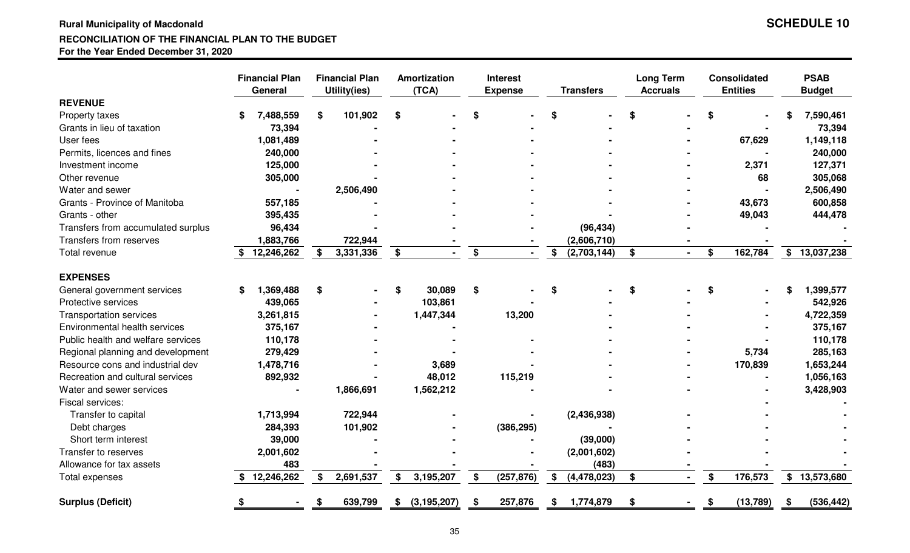#### **Rural Municipality of Macdonald SCHEDULE 10RECONCILIATION OF THE FINANCIAL PLAN TO THE BUDGETFor the Year Ended December 31, 2020**

| <b>SCHEDULE 10</b> |  |
|--------------------|--|
|--------------------|--|

|                                    |    | <b>Financial Plan</b><br>General |   | <b>Financial Plan</b><br><b>Utility(ies)</b> |    | Amortization<br>(TCA) |    | <b>Interest</b><br><b>Expense</b> |    | <b>Transfers</b> | <b>Long Term</b><br><b>Accruals</b> |    | <b>Consolidated</b><br><b>Entities</b> |    | <b>PSAB</b><br><b>Budget</b> |
|------------------------------------|----|----------------------------------|---|----------------------------------------------|----|-----------------------|----|-----------------------------------|----|------------------|-------------------------------------|----|----------------------------------------|----|------------------------------|
| <b>REVENUE</b>                     |    |                                  |   |                                              |    |                       |    |                                   |    |                  |                                     |    |                                        |    |                              |
| Property taxes                     | \$ | 7,488,559                        | S | 101,902                                      | \$ |                       | \$ |                                   |    |                  | \$                                  | \$ |                                        | S  | 7,590,461                    |
| Grants in lieu of taxation         |    | 73,394                           |   |                                              |    |                       |    |                                   |    |                  |                                     |    |                                        |    | 73,394                       |
| User fees                          |    | 1,081,489                        |   |                                              |    |                       |    |                                   |    |                  |                                     |    | 67,629                                 |    | 1,149,118                    |
| Permits, licences and fines        |    | 240,000                          |   |                                              |    |                       |    |                                   |    |                  |                                     |    |                                        |    | 240,000                      |
| Investment income                  |    | 125,000                          |   |                                              |    |                       |    |                                   |    |                  |                                     |    | 2,371                                  |    | 127,371                      |
| Other revenue                      |    | 305,000                          |   |                                              |    |                       |    |                                   |    |                  |                                     |    | 68                                     |    | 305,068                      |
| Water and sewer                    |    | $\blacksquare$                   |   | 2,506,490                                    |    |                       |    |                                   |    |                  |                                     |    |                                        |    | 2,506,490                    |
| Grants - Province of Manitoba      |    | 557,185                          |   |                                              |    |                       |    |                                   |    |                  |                                     |    | 43,673                                 |    | 600,858                      |
| Grants - other                     |    | 395,435                          |   |                                              |    |                       |    |                                   |    |                  |                                     |    | 49,043                                 |    | 444,478                      |
| Transfers from accumulated surplus |    | 96,434                           |   |                                              |    |                       |    |                                   |    | (96, 434)        |                                     |    |                                        |    |                              |
| Transfers from reserves            |    | 1,883,766                        |   | 722,944                                      |    |                       |    |                                   |    | (2,606,710)      |                                     |    |                                        |    |                              |
| Total revenue                      |    | 12,246,262                       |   | 3,331,336                                    | \$ |                       | \$ |                                   | \$ | (2,703,144)      | \$                                  | \$ | 162,784                                |    | \$13,037,238                 |
| <b>EXPENSES</b>                    |    |                                  |   |                                              |    |                       |    |                                   |    |                  |                                     |    |                                        |    |                              |
| General government services        | S  | 1,369,488                        | S |                                              | \$ | 30,089                | \$ |                                   | \$ |                  | \$                                  | \$ |                                        | \$ | 1,399,577                    |
| Protective services                |    | 439,065                          |   |                                              |    | 103,861               |    |                                   |    |                  |                                     |    |                                        |    | 542,926                      |
| <b>Transportation services</b>     |    | 3,261,815                        |   |                                              |    | 1,447,344             |    | 13,200                            |    |                  |                                     |    |                                        |    | 4,722,359                    |
| Environmental health services      |    | 375,167                          |   |                                              |    |                       |    |                                   |    |                  |                                     |    |                                        |    | 375,167                      |
| Public health and welfare services |    | 110,178                          |   |                                              |    |                       |    |                                   |    |                  |                                     |    |                                        |    | 110,178                      |
| Regional planning and development  |    | 279,429                          |   |                                              |    |                       |    |                                   |    |                  |                                     |    | 5,734                                  |    | 285,163                      |
| Resource cons and industrial dev   |    | 1,478,716                        |   |                                              |    | 3,689                 |    |                                   |    |                  |                                     |    | 170,839                                |    | 1,653,244                    |
| Recreation and cultural services   |    | 892,932                          |   |                                              |    | 48,012                |    | 115,219                           |    |                  |                                     |    |                                        |    | 1,056,163                    |
| Water and sewer services           |    |                                  |   | 1,866,691                                    |    | 1,562,212             |    |                                   |    |                  |                                     |    |                                        |    | 3,428,903                    |
| Fiscal services:                   |    |                                  |   |                                              |    |                       |    |                                   |    |                  |                                     |    |                                        |    |                              |
| Transfer to capital                |    | 1,713,994                        |   | 722,944                                      |    |                       |    |                                   |    | (2,436,938)      |                                     |    |                                        |    |                              |
| Debt charges                       |    | 284,393                          |   | 101,902                                      |    |                       |    | (386, 295)                        |    |                  |                                     |    |                                        |    |                              |
| Short term interest                |    | 39,000                           |   |                                              |    |                       |    |                                   |    | (39,000)         |                                     |    |                                        |    |                              |
| Transfer to reserves               |    | 2,001,602                        |   |                                              |    |                       |    |                                   |    | (2,001,602)      |                                     |    |                                        |    |                              |
| Allowance for tax assets           |    | 483                              |   |                                              |    |                       |    |                                   |    | (483)            |                                     |    |                                        |    |                              |
| Total expenses                     |    | \$12,246,262                     |   | 2,691,537                                    | \$ | 3,195,207             | \$ | (257, 876)                        | \$ | (4,478,023)      | \$                                  | \$ | 176,573                                |    | \$13,573,680                 |
| <b>Surplus (Deficit)</b>           |    |                                  |   | 639,799                                      | S  | (3, 195, 207)         | S. | 257,876                           | S  | 1,774,879        | \$                                  | S  | (13, 789)                              |    | (536, 442)                   |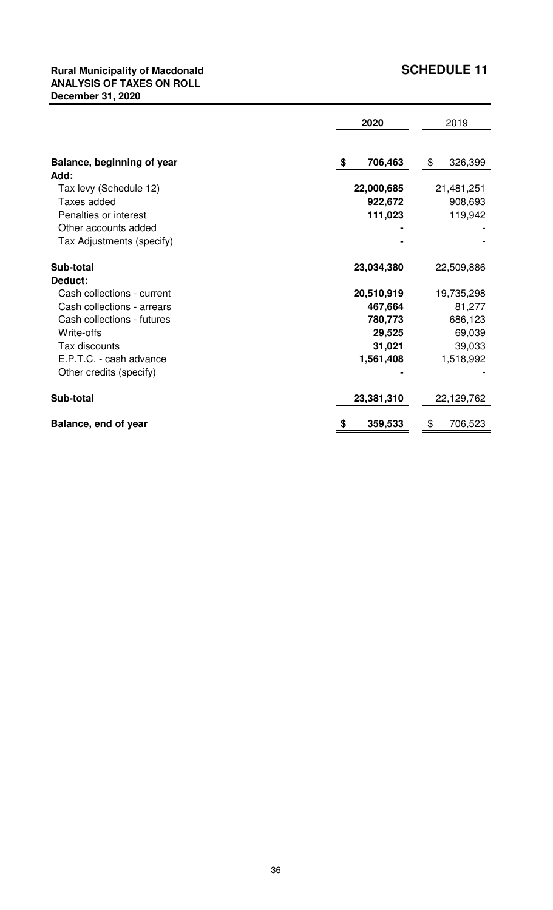## **Rural Municipality of Macdonald SCHEDULE 11 ANALYSIS OF TAXES ON ROLL December 31, 2020**

|                            | 2020          |               |  |
|----------------------------|---------------|---------------|--|
|                            |               |               |  |
| Balance, beginning of year | 706,463<br>\$ | \$<br>326,399 |  |
| Add:                       |               |               |  |
| Tax levy (Schedule 12)     | 22,000,685    | 21,481,251    |  |
| Taxes added                | 922,672       | 908,693       |  |
| Penalties or interest      | 111,023       | 119,942       |  |
| Other accounts added       |               |               |  |
| Tax Adjustments (specify)  |               |               |  |
| Sub-total                  | 23,034,380    | 22,509,886    |  |
| Deduct:                    |               |               |  |
| Cash collections - current | 20,510,919    | 19,735,298    |  |
| Cash collections - arrears | 467,664       | 81,277        |  |
| Cash collections - futures | 780,773       | 686,123       |  |
| Write-offs                 | 29,525        | 69,039        |  |
| Tax discounts              | 31,021        | 39,033        |  |
| E.P.T.C. - cash advance    | 1,561,408     | 1,518,992     |  |
| Other credits (specify)    |               |               |  |
| Sub-total                  | 23,381,310    | 22,129,762    |  |
| Balance, end of year       | 359,533<br>\$ | \$<br>706,523 |  |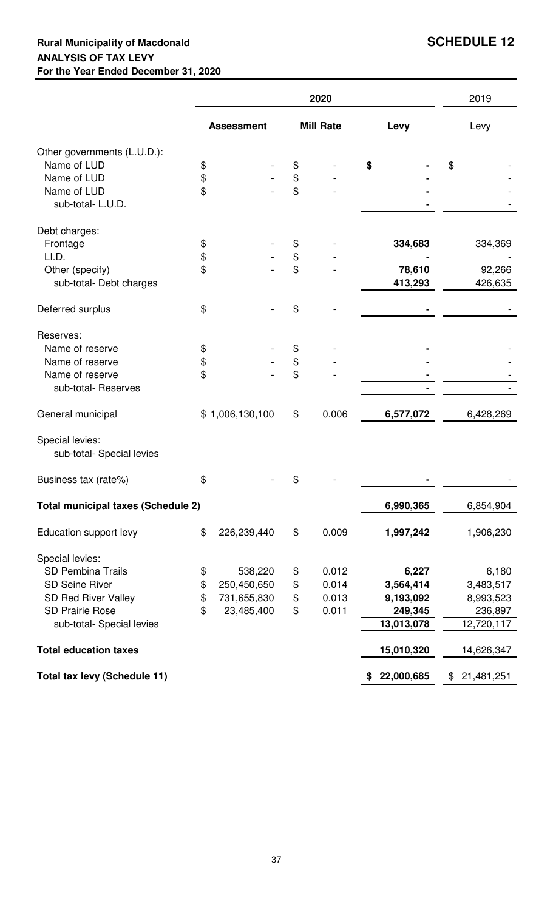## **Rural Municipality of Macdonald SCHEDULE 12 ANALYSIS OF TAX LEVY For the Year Ended December 31, 2020**

|                                              |                   |                 | 2020             |              |            |      | 2019         |  |
|----------------------------------------------|-------------------|-----------------|------------------|--------------|------------|------|--------------|--|
|                                              | <b>Assessment</b> |                 | <b>Mill Rate</b> | Levy         |            | Levy |              |  |
| Other governments (L.U.D.):                  |                   |                 |                  |              |            |      |              |  |
| Name of LUD                                  | \$                |                 | \$               |              |            | \$   |              |  |
| Name of LUD                                  | \$                |                 | \$               |              |            |      |              |  |
| Name of LUD                                  | \$                |                 | \$               |              |            |      |              |  |
| sub-total-L.U.D.                             |                   |                 |                  |              |            |      |              |  |
| Debt charges:                                |                   |                 |                  |              |            |      |              |  |
| Frontage                                     | \$                |                 | \$               |              | 334,683    |      | 334,369      |  |
| LI.D.                                        | \$                |                 | \$               |              |            |      |              |  |
| Other (specify)                              | \$                |                 | \$               |              | 78,610     |      | 92,266       |  |
| sub-total- Debt charges                      |                   |                 |                  |              | 413,293    |      | 426,635      |  |
| Deferred surplus                             | \$                |                 | \$               |              |            |      |              |  |
| Reserves:                                    |                   |                 |                  |              |            |      |              |  |
| Name of reserve                              | \$                |                 | \$               |              |            |      |              |  |
| Name of reserve                              | \$                |                 | \$               |              |            |      |              |  |
| Name of reserve                              | \$                |                 | \$               |              |            |      |              |  |
| sub-total- Reserves                          |                   |                 |                  |              |            |      |              |  |
| General municipal                            |                   | \$1,006,130,100 | \$<br>0.006      |              | 6,577,072  |      | 6,428,269    |  |
| Special levies:<br>sub-total- Special levies |                   |                 |                  |              |            |      |              |  |
| Business tax (rate%)                         | \$                |                 | \$               |              |            |      |              |  |
| <b>Total municipal taxes (Schedule 2)</b>    |                   |                 |                  |              | 6,990,365  |      | 6,854,904    |  |
| Education support levy                       | \$                | 226,239,440     | \$<br>0.009      |              | 1,997,242  |      | 1,906,230    |  |
| Special levies:                              |                   |                 |                  |              |            |      |              |  |
| <b>SD Pembina Trails</b>                     | \$                | 538,220         | \$<br>0.012      |              | 6,227      |      | 6,180        |  |
| <b>SD Seine River</b>                        | \$                | 250,450,650     | \$<br>0.014      |              | 3,564,414  |      | 3,483,517    |  |
| <b>SD Red River Valley</b>                   | \$                | 731,655,830     | \$<br>0.013      |              | 9,193,092  |      | 8,993,523    |  |
| <b>SD Prairie Rose</b>                       | \$                | 23,485,400      | \$<br>0.011      |              | 249,345    |      | 236,897      |  |
| sub-total- Special levies                    |                   |                 |                  |              | 13,013,078 |      | 12,720,117   |  |
| <b>Total education taxes</b>                 |                   |                 |                  |              | 15,010,320 |      | 14,626,347   |  |
|                                              |                   |                 |                  |              |            |      |              |  |
| Total tax levy (Schedule 11)                 |                   |                 |                  | \$22,000,685 |            |      | \$21,481,251 |  |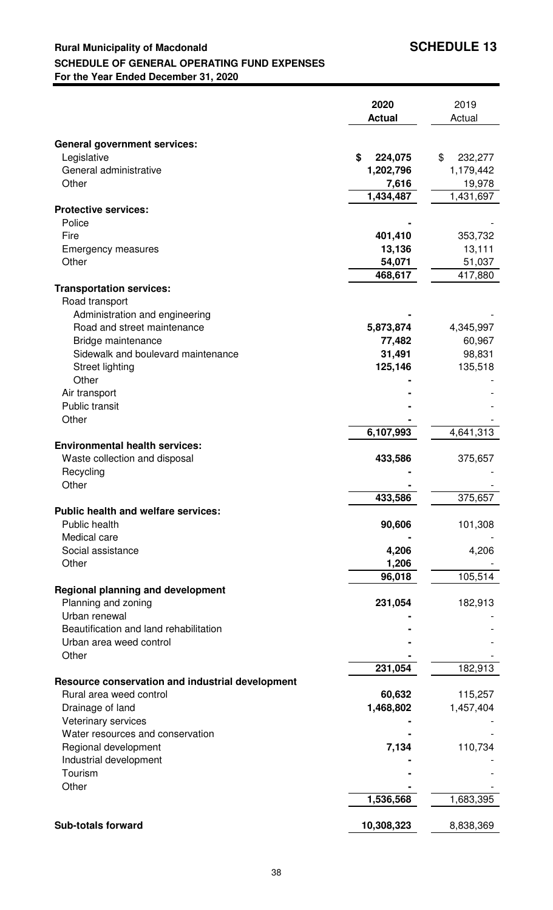## **Rural Municipality of Macdonald <b>SCHEDULE 13 SCHEDULE OF GENERAL OPERATING FUND EXPENSES For the Year Ended December 31, 2020**

|                                                         | 2020<br><b>Actual</b> | 2019<br>Actual |
|---------------------------------------------------------|-----------------------|----------------|
|                                                         |                       |                |
| <b>General government services:</b><br>Legislative      | \$<br>224,075         | \$<br>232,277  |
| General administrative                                  | 1,202,796             | 1,179,442      |
| Other                                                   | 7,616                 | 19,978         |
|                                                         | 1,434,487             | 1,431,697      |
| <b>Protective services:</b><br>Police                   |                       |                |
| Fire                                                    | 401,410               | 353,732        |
| <b>Emergency measures</b>                               | 13,136                | 13,111         |
| Other                                                   | 54,071                | 51,037         |
|                                                         | 468,617               | 417,880        |
| <b>Transportation services:</b>                         |                       |                |
| Road transport                                          |                       |                |
| Administration and engineering                          |                       |                |
| Road and street maintenance                             | 5,873,874             | 4,345,997      |
| Bridge maintenance                                      | 77,482                | 60,967         |
| Sidewalk and boulevard maintenance                      | 31,491                | 98,831         |
| <b>Street lighting</b>                                  | 125,146               | 135,518        |
| Other                                                   |                       |                |
| Air transport                                           |                       |                |
| Public transit                                          |                       |                |
| Other                                                   |                       |                |
| <b>Environmental health services:</b>                   | 6,107,993             | 4,641,313      |
| Waste collection and disposal                           | 433,586               | 375,657        |
| Recycling                                               |                       |                |
| Other                                                   |                       |                |
|                                                         | 433,586               | 375,657        |
| <b>Public health and welfare services:</b>              |                       |                |
| Public health                                           | 90,606                | 101,308        |
| Medical care                                            |                       |                |
| Social assistance                                       | 4,206                 | 4,206          |
| Other                                                   | 1,206                 |                |
|                                                         | 96,018                | 105,514        |
| <b>Regional planning and development</b>                |                       |                |
| Planning and zoning                                     | 231,054               | 182,913        |
| Urban renewal<br>Beautification and land rehabilitation |                       |                |
| Urban area weed control                                 |                       |                |
| Other                                                   |                       |                |
|                                                         | 231,054               | 182,913        |
| Resource conservation and industrial development        |                       |                |
| Rural area weed control                                 | 60,632                | 115,257        |
| Drainage of land                                        | 1,468,802             | 1,457,404      |
| Veterinary services                                     |                       |                |
| Water resources and conservation                        |                       |                |
| Regional development                                    | 7,134                 | 110,734        |
| Industrial development                                  |                       |                |
| Tourism                                                 |                       |                |
| Other                                                   |                       |                |
|                                                         | 1,536,568             | 1,683,395      |
| <b>Sub-totals forward</b>                               | 10,308,323            | 8,838,369      |
|                                                         |                       |                |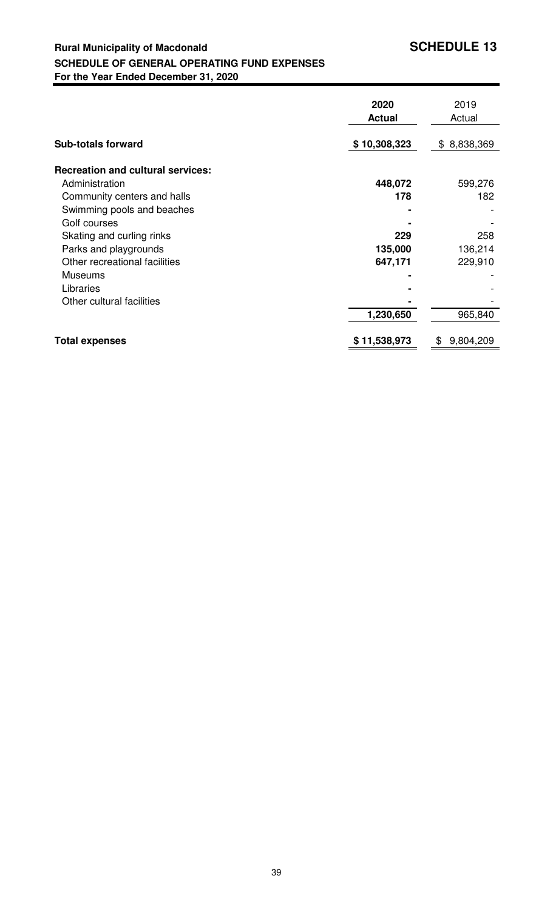## **Rural Municipality of Macdonald <b>SCHEDULE 13 SCHEDULE OF GENERAL OPERATING FUND EXPENSES For the Year Ended December 31, 2020**

|                                          | 2020<br><b>Actual</b> | 2019<br>Actual  |
|------------------------------------------|-----------------------|-----------------|
| <b>Sub-totals forward</b>                | \$10,308,323          | \$8,838,369     |
| <b>Recreation and cultural services:</b> |                       |                 |
| Administration                           | 448,072               | 599,276         |
| Community centers and halls              | 178                   | 182             |
| Swimming pools and beaches               |                       |                 |
| Golf courses                             |                       |                 |
| Skating and curling rinks                | 229                   | 258             |
| Parks and playgrounds                    | 135,000               | 136,214         |
| Other recreational facilities            | 647,171               | 229,910         |
| <b>Museums</b>                           |                       |                 |
| Libraries                                |                       |                 |
| Other cultural facilities                |                       |                 |
|                                          | 1,230,650             | 965,840         |
| <b>Total expenses</b>                    | \$11,538,973          | \$<br>9,804,209 |